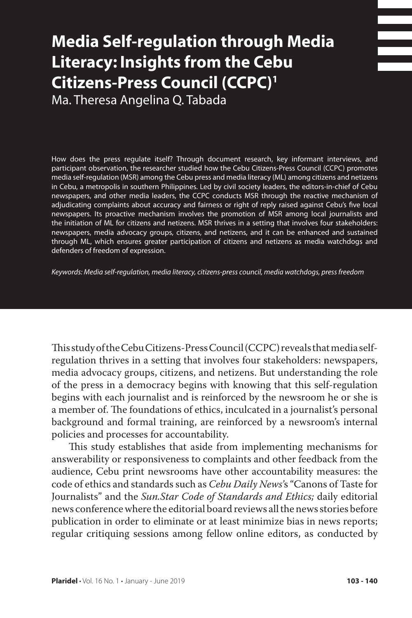# **Media Self-regulation through Media Literacy: Insights from the Cebu Citizens-Press Council (CCPC)1**

Ma. Theresa Angelina Q. Tabada

How does the press regulate itself? Through document research, key informant interviews, and participant observation, the researcher studied how the Cebu Citizens-Press Council (CCPC) promotes media self-regulation (MSR) among the Cebu press and media literacy (ML) among citizens and netizens in Cebu, a metropolis in southern Philippines. Led by civil society leaders, the editors-in-chief of Cebu newspapers, and other media leaders, the CCPC conducts MSR through the reactive mechanism of adjudicating complaints about accuracy and fairness or right of reply raised against Cebu's five local newspapers. Its proactive mechanism involves the promotion of MSR among local journalists and the initiation of ML for citizens and netizens. MSR thrives in a setting that involves four stakeholders: newspapers, media advocacy groups, citizens, and netizens, and it can be enhanced and sustained through ML, which ensures greater participation of citizens and netizens as media watchdogs and defenders of freedom of expression.

*Keywords: Media self-regulation, media literacy, citizens-press council, media watchdogs, press freedom* 

This study of the Cebu Citizens-Press Council (CCPC) reveals that media selfregulation thrives in a setting that involves four stakeholders: newspapers, media advocacy groups, citizens, and netizens. But understanding the role of the press in a democracy begins with knowing that this self-regulation begins with each journalist and is reinforced by the newsroom he or she is a member of. The foundations of ethics, inculcated in a journalist's personal background and formal training, are reinforced by a newsroom's internal policies and processes for accountability.

This study establishes that aside from implementing mechanisms for answerability or responsiveness to complaints and other feedback from the audience, Cebu print newsrooms have other accountability measures: the code of ethics and standards such as *Cebu Daily News'*s "Canons of Taste for Journalists" and the *Sun.Star Code of Standards and Ethics;* daily editorial news conference where the editorial board reviews all the news stories before publication in order to eliminate or at least minimize bias in news reports; regular critiquing sessions among fellow online editors, as conducted by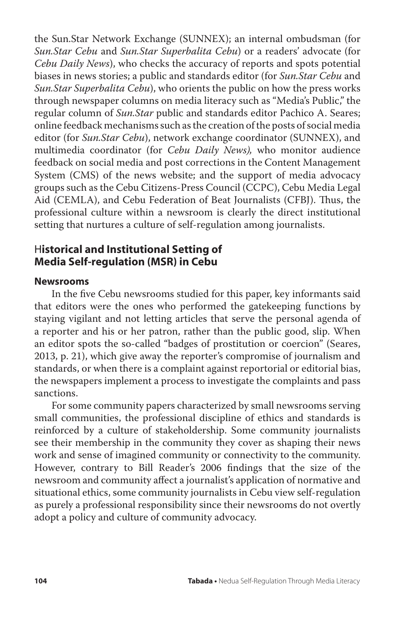the Sun.Star Network Exchange (SUNNEX); an internal ombudsman (for *Sun.Star Cebu* and *Sun.Star Superbalita Cebu*) or a readers' advocate (for *Cebu Daily News*), who checks the accuracy of reports and spots potential biases in news stories; a public and standards editor (for *Sun.Star Cebu* and *Sun.Star Superbalita Cebu*), who orients the public on how the press works through newspaper columns on media literacy such as "Media's Public," the regular column of *Sun.Star* public and standards editor Pachico A. Seares; online feedback mechanisms such as the creation of the posts of social media editor (for *Sun.Star Cebu*), network exchange coordinator (SUNNEX), and multimedia coordinator (for *Cebu Daily News),* who monitor audience feedback on social media and post corrections in the Content Management System (CMS) of the news website; and the support of media advocacy groups such as the Cebu Citizens-Press Council (CCPC), Cebu Media Legal Aid (CEMLA), and Cebu Federation of Beat Journalists (CFBJ). Thus, the professional culture within a newsroom is clearly the direct institutional setting that nurtures a culture of self-regulation among journalists.

#### H**istorical and Institutional Setting of Media Self-regulation (MSR) in Cebu**

#### **Newsrooms**

In the five Cebu newsrooms studied for this paper, key informants said that editors were the ones who performed the gatekeeping functions by staying vigilant and not letting articles that serve the personal agenda of a reporter and his or her patron, rather than the public good, slip. When an editor spots the so-called "badges of prostitution or coercion" (Seares, 2013, p. 21), which give away the reporter's compromise of journalism and standards, or when there is a complaint against reportorial or editorial bias, the newspapers implement a process to investigate the complaints and pass sanctions.

For some community papers characterized by small newsrooms serving small communities, the professional discipline of ethics and standards is reinforced by a culture of stakeholdership. Some community journalists see their membership in the community they cover as shaping their news work and sense of imagined community or connectivity to the community. However, contrary to Bill Reader's 2006 findings that the size of the newsroom and community affect a journalist's application of normative and situational ethics, some community journalists in Cebu view self-regulation as purely a professional responsibility since their newsrooms do not overtly adopt a policy and culture of community advocacy.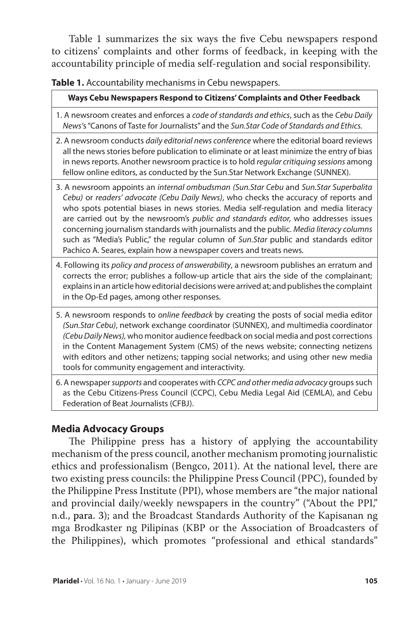Table 1 summarizes the six ways the five Cebu newspapers respond to citizens' complaints and other forms of feedback, in keeping with the accountability principle of media self-regulation and social responsibility.

**Table 1.** Accountability mechanisms in Cebu newspapers.

**Ways Cebu Newspapers Respond to Citizens' Complaints and Other Feedback**

- 1. A newsroom creates and enforces a *code of standards and ethics*, such as the *Cebu Daily News'*s "Canons of Taste for Journalists" and the *Sun.Star Code of Standards and Ethics.*
- 2. A newsroom conducts *daily editorial news conference* where the editorial board reviews all the news stories before publication to eliminate or at least minimize the entry of bias in news reports. Another newsroom practice is to hold *regular critiquing sessions* among fellow online editors, as conducted by the Sun.Star Network Exchange (SUNNEX).
- 3. A newsroom appoints an *internal ombudsman (Sun.Star Cebu* and *Sun.Star Superbalita Cebu)* or *readers' advocate (Cebu Daily News)*, who checks the accuracy of reports and who spots potential biases in news stories. Media self-regulation and media literacy are carried out by the newsroom's *public and standards editor,* who addresses issues concerning journalism standards with journalists and the public. *Media literacy columns*  such as "Media's Public," the regular column of *Sun.Star* public and standards editor Pachico A. Seares, explain how a newspaper covers and treats news.
- 4. Following its *policy and process of answerability*, a newsroom publishes an erratum and corrects the error; publishes a follow-up article that airs the side of the complainant; explains in an article how editorial decisions were arrived at; and publishes the complaint in the Op-Ed pages, among other responses.
- 5. A newsroom responds to *online feedback* by creating the posts of social media editor *(Sun.Star Cebu)*, network exchange coordinator (SUNNEX), and multimedia coordinator *(Cebu Daily News),* who monitor audience feedback on social media and post corrections in the Content Management System (CMS) of the news website; connecting netizens with editors and other netizens; tapping social networks; and using other new media tools for community engagement and interactivity.
- 6. A newspaper *supports* and cooperates with *CCPC and other media advocacy* groups such as the Cebu Citizens-Press Council (CCPC), Cebu Media Legal Aid (CEMLA), and Cebu Federation of Beat Journalists (CFBJ).

#### **Media Advocacy Groups**

The Philippine press has a history of applying the accountability mechanism of the press council, another mechanism promoting journalistic ethics and professionalism (Bengco, 2011). At the national level, there are two existing press councils: the Philippine Press Council (PPC), founded by the Philippine Press Institute (PPI), whose members are "the major national and provincial daily/weekly newspapers in the country" ("About the PPI," n.d., para. 3); and the Broadcast Standards Authority of the Kapisanan ng mga Brodkaster ng Pilipinas (KBP or the Association of Broadcasters of the Philippines), which promotes "professional and ethical standards"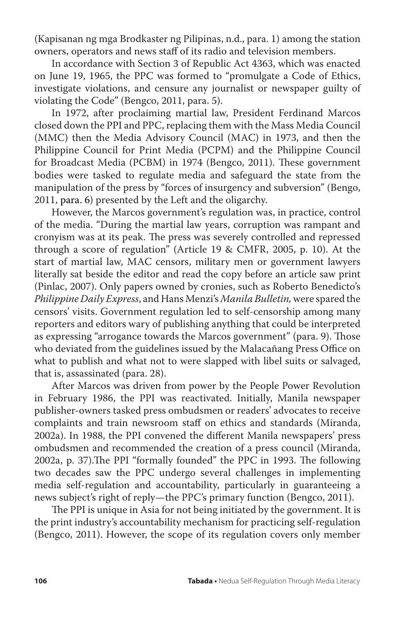(Kapisanan ng mga Brodkaster ng Pilipinas, n.d., para. 1) among the station owners, operators and news staff of its radio and television members.

In accordance with Section 3 of Republic Act 4363, which was enacted on June 19, 1965, the PPC was formed to "promulgate a Code of Ethics, investigate violations, and censure any journalist or newspaper guilty of violating the Code" (Bengco, 2011, para. 5).

In 1972, after proclaiming martial law, President Ferdinand Marcos closed down the PPI and PPC, replacing them with the Mass Media Council (MMC) then the Media Advisory Council (MAC) in 1973, and then the Philippine Council for Print Media (PCPM) and the Philippine Council for Broadcast Media (PCBM) in 1974 (Bengco, 2011). These government bodies were tasked to regulate media and safeguard the state from the manipulation of the press by "forces of insurgency and subversion" (Bengo, 2011, para. 6) presented by the Left and the oligarchy.

However, the Marcos government's regulation was, in practice, control of the media. "During the martial law years, corruption was rampant and cronyism was at its peak. The press was severely controlled and repressed through a score of regulation" (Article 19 & CMFR, 2005, p. 10). At the start of martial law, MAC censors, military men or government lawyers literally sat beside the editor and read the copy before an article saw print (Pinlac, 2007). Only papers owned by cronies, such as Roberto Benedicto's *Philippine Daily Express*, and Hans Menzi's *Manila Bulletin,* were spared the censors' visits. Government regulation led to self-censorship among many reporters and editors wary of publishing anything that could be interpreted as expressing "arrogance towards the Marcos government" (para. 9). Those who deviated from the guidelines issued by the Malacañang Press Office on what to publish and what not to were slapped with libel suits or salvaged, that is, assassinated (para. 28).

After Marcos was driven from power by the People Power Revolution in February 1986, the PPI was reactivated. Initially, Manila newspaper publisher-owners tasked press ombudsmen or readers' advocates to receive complaints and train newsroom staff on ethics and standards (Miranda, 2002a). In 1988, the PPI convened the different Manila newspapers' press ombudsmen and recommended the creation of a press council (Miranda, 2002a, p. 37).The PPI "formally founded" the PPC in 1993. The following two decades saw the PPC undergo several challenges in implementing media self-regulation and accountability, particularly in guaranteeing a news subject's right of reply—the PPC's primary function (Bengco, 2011).

The PPI is unique in Asia for not being initiated by the government. It is the print industry's accountability mechanism for practicing self-regulation (Bengco, 2011). However, the scope of its regulation covers only member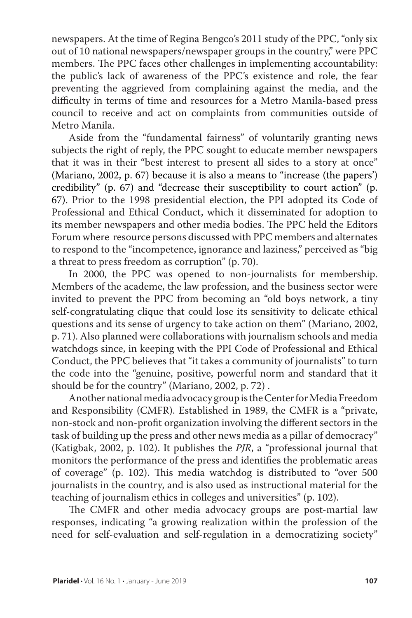newspapers. At the time of Regina Bengco's 2011 study of the PPC, "only six out of 10 national newspapers/newspaper groups in the country," were PPC members. The PPC faces other challenges in implementing accountability: the public's lack of awareness of the PPC's existence and role, the fear preventing the aggrieved from complaining against the media, and the difficulty in terms of time and resources for a Metro Manila-based press council to receive and act on complaints from communities outside of Metro Manila.

Aside from the "fundamental fairness" of voluntarily granting news subjects the right of reply, the PPC sought to educate member newspapers that it was in their "best interest to present all sides to a story at once" (Mariano, 2002, p. 67) because it is also a means to "increase (the papers') credibility" (p. 67) and "decrease their susceptibility to court action" (p. 67). Prior to the 1998 presidential election, the PPI adopted its Code of Professional and Ethical Conduct, which it disseminated for adoption to its member newspapers and other media bodies. The PPC held the Editors Forum where resource persons discussed with PPC members and alternates to respond to the "incompetence, ignorance and laziness," perceived as "big a threat to press freedom as corruption" (p. 70).

In 2000, the PPC was opened to non-journalists for membership. Members of the academe, the law profession, and the business sector were invited to prevent the PPC from becoming an "old boys network, a tiny self-congratulating clique that could lose its sensitivity to delicate ethical questions and its sense of urgency to take action on them" (Mariano, 2002, p. 71). Also planned were collaborations with journalism schools and media watchdogs since, in keeping with the PPI Code of Professional and Ethical Conduct, the PPC believes that "it takes a community of journalists" to turn the code into the "genuine, positive, powerful norm and standard that it should be for the country" (Mariano, 2002, p. 72) .

Another national media advocacy group is the Center for Media Freedom and Responsibility (CMFR). Established in 1989, the CMFR is a "private, non-stock and non-profit organization involving the different sectors in the task of building up the press and other news media as a pillar of democracy" (Katigbak, 2002, p. 102). It publishes the *PJR*, a "professional journal that monitors the performance of the press and identifies the problematic areas of coverage" (p. 102). This media watchdog is distributed to "over 500 journalists in the country, and is also used as instructional material for the teaching of journalism ethics in colleges and universities" (p. 102).

The CMFR and other media advocacy groups are post-martial law responses, indicating "a growing realization within the profession of the need for self-evaluation and self-regulation in a democratizing society"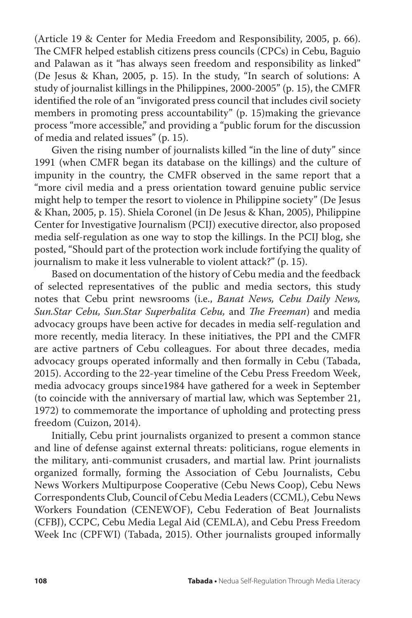(Article 19 & Center for Media Freedom and Responsibility, 2005, p. 66). The CMFR helped establish citizens press councils (CPCs) in Cebu, Baguio and Palawan as it "has always seen freedom and responsibility as linked" (De Jesus & Khan, 2005, p. 15). In the study, "In search of solutions: A study of journalist killings in the Philippines, 2000-2005" (p. 15), the CMFR identified the role of an "invigorated press council that includes civil society members in promoting press accountability" (p. 15)making the grievance process "more accessible," and providing a "public forum for the discussion of media and related issues" (p. 15).

Given the rising number of journalists killed "in the line of duty" since 1991 (when CMFR began its database on the killings) and the culture of impunity in the country, the CMFR observed in the same report that a "more civil media and a press orientation toward genuine public service might help to temper the resort to violence in Philippine society" (De Jesus & Khan, 2005, p. 15). Shiela Coronel (in De Jesus & Khan, 2005), Philippine Center for Investigative Journalism (PCIJ) executive director, also proposed media self-regulation as one way to stop the killings. In the PCIJ blog, she posted, "Should part of the protection work include fortifying the quality of journalism to make it less vulnerable to violent attack?" (p. 15).

Based on documentation of the history of Cebu media and the feedback of selected representatives of the public and media sectors, this study notes that Cebu print newsrooms (i.e., *Banat News, Cebu Daily News, Sun.Star Cebu, Sun.Star Superbalita Cebu,* and *The Freeman*) and media advocacy groups have been active for decades in media self-regulation and more recently, media literacy. In these initiatives, the PPI and the CMFR are active partners of Cebu colleagues. For about three decades, media advocacy groups operated informally and then formally in Cebu (Tabada, 2015). According to the 22-year timeline of the Cebu Press Freedom Week, media advocacy groups since1984 have gathered for a week in September (to coincide with the anniversary of martial law, which was September 21, 1972) to commemorate the importance of upholding and protecting press freedom (Cuizon, 2014).

Initially, Cebu print journalists organized to present a common stance and line of defense against external threats: politicians, rogue elements in the military, anti-communist crusaders, and martial law. Print journalists organized formally, forming the Association of Cebu Journalists, Cebu News Workers Multipurpose Cooperative (Cebu News Coop), Cebu News Correspondents Club, Council of Cebu Media Leaders (CCML), Cebu News Workers Foundation (CENEWOF), Cebu Federation of Beat Journalists (CFBJ), CCPC, Cebu Media Legal Aid (CEMLA), and Cebu Press Freedom Week Inc (CPFWI) (Tabada, 2015). Other journalists grouped informally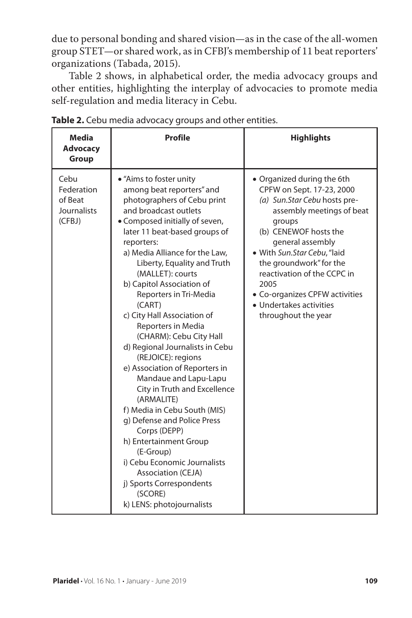due to personal bonding and shared vision—as in the case of the all-women group STET—or shared work, as in CFBJ's membership of 11 beat reporters' organizations (Tabada, 2015).

Table 2 shows, in alphabetical order, the media advocacy groups and other entities, highlighting the interplay of advocacies to promote media self-regulation and media literacy in Cebu.

| <b>Media</b><br>Advocacy<br>Group                      | <b>Profile</b>                                                                                                                                                                                                                                                                                                                                                                                                                                                                                                                                                                                                                                                                                                                                                                                                                                               | <b>Highlights</b>                                                                                                                                                                                                                                                                                                                                                |
|--------------------------------------------------------|--------------------------------------------------------------------------------------------------------------------------------------------------------------------------------------------------------------------------------------------------------------------------------------------------------------------------------------------------------------------------------------------------------------------------------------------------------------------------------------------------------------------------------------------------------------------------------------------------------------------------------------------------------------------------------------------------------------------------------------------------------------------------------------------------------------------------------------------------------------|------------------------------------------------------------------------------------------------------------------------------------------------------------------------------------------------------------------------------------------------------------------------------------------------------------------------------------------------------------------|
| Cebu<br>Federation<br>of Beat<br>Journalists<br>(CFBJ) | • "Aims to foster unity<br>among beat reporters" and<br>photographers of Cebu print<br>and broadcast outlets<br>• Composed initially of seven,<br>later 11 beat-based groups of<br>reporters:<br>a) Media Alliance for the Law,<br>Liberty, Equality and Truth<br>(MALLET): courts<br>b) Capitol Association of<br>Reporters in Tri-Media<br>(CART)<br>c) City Hall Association of<br>Reporters in Media<br>(CHARM): Cebu City Hall<br>d) Regional Journalists in Cebu<br>(REJOICE): regions<br>e) Association of Reporters in<br>Mandaue and Lapu-Lapu<br>City in Truth and Excellence<br>(ARMALITE)<br>f) Media in Cebu South (MIS)<br>g) Defense and Police Press<br>Corps (DEPP)<br>h) Entertainment Group<br>(E-Group)<br>i) Cebu Economic Journalists<br><b>Association (CEJA)</b><br>j) Sports Correspondents<br>(SCORE)<br>k) LENS: photojournalists | • Organized during the 6th<br>CPFW on Sept. 17-23, 2000<br>(a) Sun.Star Cebu hosts pre-<br>assembly meetings of beat<br>groups<br>(b) CENEWOF hosts the<br>general assembly<br>· With Sun.Star Cebu, "laid<br>the groundwork" for the<br>reactivation of the CCPC in<br>2005<br>• Co-organizes CPFW activities<br>• Undertakes activities<br>throughout the year |

**Table 2.** Cebu media advocacy groups and other entities.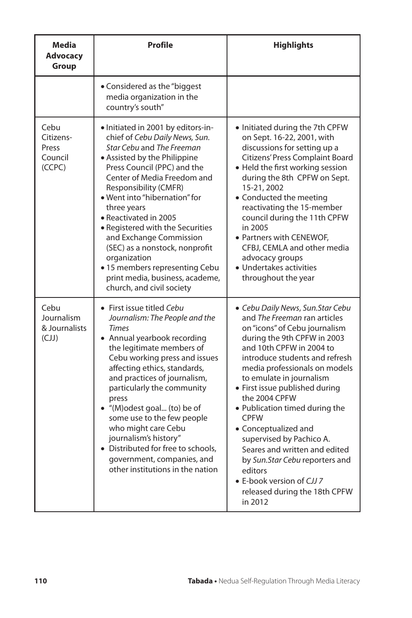| <b>Media</b><br><b>Advocacy</b><br>Group        | Profile                                                                                                                                                                                                                                                                                                                                                                                                                                                                                                              | <b>Highlights</b>                                                                                                                                                                                                                                                                                                                                                                                                                                                                                                                                                           |
|-------------------------------------------------|----------------------------------------------------------------------------------------------------------------------------------------------------------------------------------------------------------------------------------------------------------------------------------------------------------------------------------------------------------------------------------------------------------------------------------------------------------------------------------------------------------------------|-----------------------------------------------------------------------------------------------------------------------------------------------------------------------------------------------------------------------------------------------------------------------------------------------------------------------------------------------------------------------------------------------------------------------------------------------------------------------------------------------------------------------------------------------------------------------------|
|                                                 | • Considered as the "biggest"<br>media organization in the<br>country's south"                                                                                                                                                                                                                                                                                                                                                                                                                                       |                                                                                                                                                                                                                                                                                                                                                                                                                                                                                                                                                                             |
| Cebu<br>Citizens-<br>Press<br>Council<br>(CCPC) | • Initiated in 2001 by editors-in-<br>chief of Cebu Daily News, Sun.<br>Star Cebu and The Freeman<br>• Assisted by the Philippine<br>Press Council (PPC) and the<br>Center of Media Freedom and<br>Responsibility (CMFR)<br>• Went into "hibernation" for<br>three years<br>• Reactivated in 2005<br>• Registered with the Securities<br>and Exchange Commission<br>(SEC) as a nonstock, nonprofit<br>organization<br>• 15 members representing Cebu<br>print media, business, academe,<br>church, and civil society | • Initiated during the 7th CPFW<br>on Sept. 16-22, 2001, with<br>discussions for setting up a<br>Citizens' Press Complaint Board<br>• Held the first working session<br>during the 8th CPFW on Sept.<br>15-21, 2002<br>• Conducted the meeting<br>reactivating the 15-member<br>council during the 11th CPFW<br>in 2005<br>• Partners with CENEWOF,<br>CFBJ, CEMLA and other media<br>advocacy groups<br>• Undertakes activities<br>throughout the year                                                                                                                     |
| Cebu<br>Journalism<br>& Journalists<br>(LJ)     | • First issue titled Cebu<br>Journalism: The People and the<br><b>Times</b><br>• Annual yearbook recording<br>the legitimate members of<br>Cebu working press and issues<br>affecting ethics, standards,<br>and practices of journalism,<br>particularly the community<br>press<br>• "(M)odest goal (to) be of<br>some use to the few people<br>who might care Cebu<br>journalism's history"<br>Distributed for free to schools,<br>government, companies, and<br>other institutions in the nation                   | • Cebu Daily News, Sun. Star Cebu<br>and The Freeman ran articles<br>on "icons" of Cebu journalism<br>during the 9th CPFW in 2003<br>and 10th CPFW in 2004 to<br>introduce students and refresh<br>media professionals on models<br>to emulate in journalism<br>• First issue published during<br>the 2004 CPFW<br>• Publication timed during the<br><b>CPFW</b><br>• Conceptualized and<br>supervised by Pachico A.<br>Seares and written and edited<br>by Sun.Star Cebu reporters and<br>editors<br>• E-book version of CJJ 7<br>released during the 18th CPFW<br>in 2012 |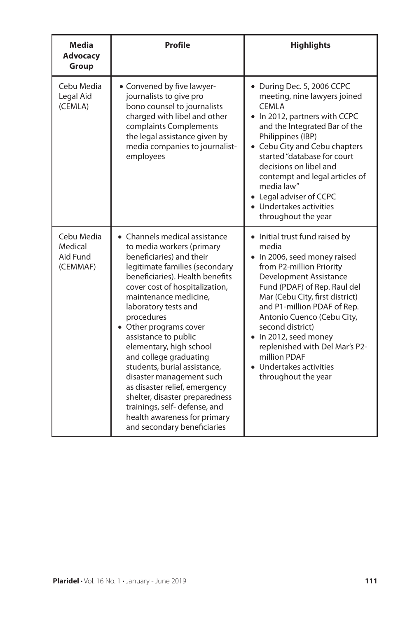| Media<br><b>Advocacy</b><br>Group             | Profile                                                                                                                                                                                                                                                                                                                                                                                                                                                                                                                                                                                           | <b>Highlights</b>                                                                                                                                                                                                                                                                                                                                                                                              |
|-----------------------------------------------|---------------------------------------------------------------------------------------------------------------------------------------------------------------------------------------------------------------------------------------------------------------------------------------------------------------------------------------------------------------------------------------------------------------------------------------------------------------------------------------------------------------------------------------------------------------------------------------------------|----------------------------------------------------------------------------------------------------------------------------------------------------------------------------------------------------------------------------------------------------------------------------------------------------------------------------------------------------------------------------------------------------------------|
| Cebu Media<br>Legal Aid<br>(CEMLA)            | • Convened by five lawyer-<br>journalists to give pro<br>bono counsel to journalists<br>charged with libel and other<br>complaints Complements<br>the legal assistance given by<br>media companies to journalist-<br>employees                                                                                                                                                                                                                                                                                                                                                                    | • During Dec. 5, 2006 CCPC<br>meeting, nine lawyers joined<br><b>CEMLA</b><br>• In 2012, partners with CCPC<br>and the Integrated Bar of the<br>Philippines (IBP)<br>• Cebu City and Cebu chapters<br>started "database for court<br>decisions on libel and<br>contempt and legal articles of<br>media law"<br>• Legal adviser of CCPC<br>• Undertakes activities<br>throughout the year                       |
| Cebu Media<br>Medical<br>Aid Fund<br>(CEMMAF) | • Channels medical assistance<br>to media workers (primary<br>beneficiaries) and their<br>legitimate families (secondary<br>beneficiaries). Health benefits<br>cover cost of hospitalization,<br>maintenance medicine,<br>laboratory tests and<br>procedures<br>• Other programs cover<br>assistance to public<br>elementary, high school<br>and college graduating<br>students, burial assistance,<br>disaster management such<br>as disaster relief, emergency<br>shelter, disaster preparedness<br>trainings, self-defense, and<br>health awareness for primary<br>and secondary beneficiaries | • Initial trust fund raised by<br>media<br>• In 2006, seed money raised<br>from P2-million Priority<br>Development Assistance<br>Fund (PDAF) of Rep. Raul del<br>Mar (Cebu City, first district)<br>and P1-million PDAF of Rep.<br>Antonio Cuenco (Cebu City,<br>second district)<br>• In 2012, seed money<br>replenished with Del Mar's P2-<br>million PDAF<br>• Undertakes activities<br>throughout the year |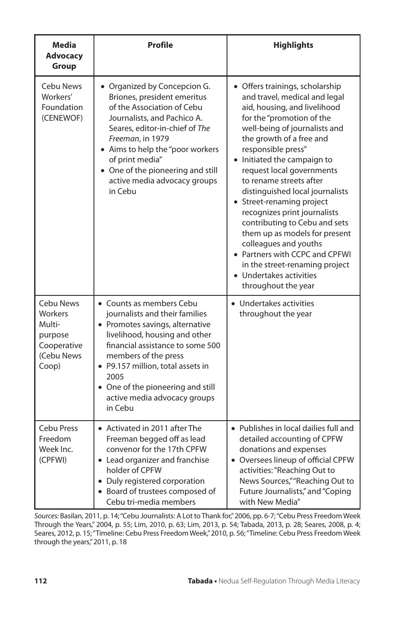| <b>Media</b><br><b>Advocacy</b><br>Group                                               | <b>Profile</b>                                                                                                                                                                                                                                                                                                          | <b>Highlights</b>                                                                                                                                                                                                                                                                                                                                                                                                                                                                                                                                                                                                        |
|----------------------------------------------------------------------------------------|-------------------------------------------------------------------------------------------------------------------------------------------------------------------------------------------------------------------------------------------------------------------------------------------------------------------------|--------------------------------------------------------------------------------------------------------------------------------------------------------------------------------------------------------------------------------------------------------------------------------------------------------------------------------------------------------------------------------------------------------------------------------------------------------------------------------------------------------------------------------------------------------------------------------------------------------------------------|
| <b>Cebu News</b><br>Workers'<br>Foundation<br>(CENEWOF)                                | • Organized by Concepcion G.<br>Briones, president emeritus<br>of the Association of Cebu<br>Journalists, and Pachico A.<br>Seares, editor-in-chief of The<br>Freeman, in 1979<br>Aims to help the "poor workers<br>of print media"<br>• One of the pioneering and still<br>active media advocacy groups<br>in Cebu     | • Offers trainings, scholarship<br>and travel, medical and legal<br>aid, housing, and livelihood<br>for the "promotion of the<br>well-being of journalists and<br>the growth of a free and<br>responsible press"<br>• Initiated the campaign to<br>request local governments<br>to rename streets after<br>distinguished local journalists<br>• Street-renaming project<br>recognizes print journalists<br>contributing to Cebu and sets<br>them up as models for present<br>colleagues and youths<br>• Partners with CCPC and CPFWI<br>in the street-renaming project<br>• Undertakes activities<br>throughout the year |
| <b>Cebu News</b><br>Workers<br>Multi-<br>purpose<br>Cooperative<br>(Cebu News<br>Coop) | • Counts as members Cebu<br>journalists and their families<br>• Promotes savings, alternative<br>livelihood, housing and other<br>financial assistance to some 500<br>members of the press<br>• P9.157 million, total assets in<br>2005<br>• One of the pioneering and still<br>active media advocacy groups<br>in Cebu | • Undertakes activities<br>throughout the year                                                                                                                                                                                                                                                                                                                                                                                                                                                                                                                                                                           |
| Cebu Press<br>Freedom<br>Week Inc.<br>(CPFWI)                                          | • Activated in 2011 after The<br>Freeman begged off as lead<br>convenor for the 17th CPFW<br>• Lead organizer and franchise<br>holder of CPFW<br>• Duly registered corporation<br>• Board of trustees composed of<br>Cebu tri-media members                                                                             | • Publishes in local dailies full and<br>detailed accounting of CPFW<br>donations and expenses<br>Oversees lineup of official CPFW<br>activities: "Reaching Out to<br>News Sources,""Reaching Out to<br>Future Journalists," and "Coping<br>with New Media"                                                                                                                                                                                                                                                                                                                                                              |

*Sources:* Basilan, 2011, p. 14; "Cebu Journalists: A Lot to Thank for," 2006, pp. 6-7; "Cebu Press Freedom Week Through the Years," 2004, p. 55; Lim, 2010, p. 63; Lim, 2013, p. 54; Tabada, 2013, p. 28; Seares, 2008, p. 4; Seares, 2012, p. 15; "Timeline: Cebu Press Freedom Week," 2010, p. 56; "Timeline: Cebu Press Freedom Week through the years," 2011, p. 18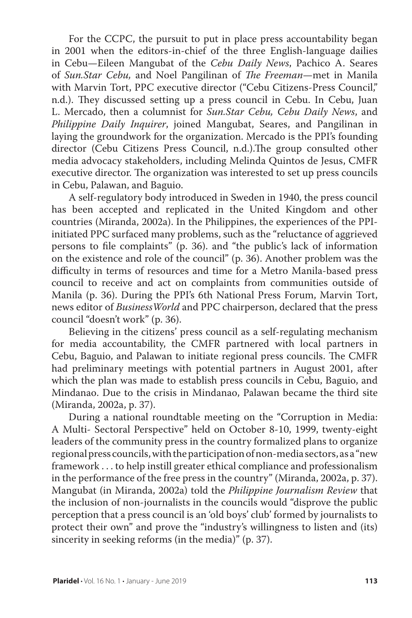For the CCPC, the pursuit to put in place press accountability began in 2001 when the editors-in-chief of the three English-language dailies in Cebu—Eileen Mangubat of the *Cebu Daily News*, Pachico A. Seares of *Sun.Star Cebu,* and Noel Pangilinan of *The Freeman*—met in Manila with Marvin Tort, PPC executive director ("Cebu Citizens-Press Council," n.d.). They discussed setting up a press council in Cebu. In Cebu, Juan L. Mercado, then a columnist for *Sun.Star Cebu, Cebu Daily News*, and *Philippine Daily Inquirer*, joined Mangubat, Seares, and Pangilinan in laying the groundwork for the organization. Mercado is the PPI's founding director (Cebu Citizens Press Council, n.d.).The group consulted other media advocacy stakeholders, including Melinda Quintos de Jesus, CMFR executive director. The organization was interested to set up press councils in Cebu, Palawan, and Baguio.

A self-regulatory body introduced in Sweden in 1940, the press council has been accepted and replicated in the United Kingdom and other countries (Miranda, 2002a). In the Philippines, the experiences of the PPIinitiated PPC surfaced many problems, such as the "reluctance of aggrieved persons to file complaints" (p. 36). and "the public's lack of information on the existence and role of the council" (p. 36). Another problem was the difficulty in terms of resources and time for a Metro Manila-based press council to receive and act on complaints from communities outside of Manila (p. 36). During the PPI's 6th National Press Forum, Marvin Tort, news editor of *BusinessWorld* and PPC chairperson, declared that the press council "doesn't work" (p. 36).

Believing in the citizens' press council as a self-regulating mechanism for media accountability, the CMFR partnered with local partners in Cebu, Baguio, and Palawan to initiate regional press councils. The CMFR had preliminary meetings with potential partners in August 2001, after which the plan was made to establish press councils in Cebu, Baguio, and Mindanao. Due to the crisis in Mindanao, Palawan became the third site (Miranda, 2002a, p. 37).

During a national roundtable meeting on the "Corruption in Media: A Multi- Sectoral Perspective" held on October 8-10, 1999, twenty-eight leaders of the community press in the country formalized plans to organize regional press councils, with the participation of non-media sectors, as a "new framework . . . to help instill greater ethical compliance and professionalism in the performance of the free press in the country" (Miranda, 2002a, p. 37). Mangubat (in Miranda, 2002a) told the *Philippine Journalism Review* that the inclusion of non-journalists in the councils would "disprove the public perception that a press council is an 'old boys' club' formed by journalists to protect their own" and prove the "industry's willingness to listen and (its) sincerity in seeking reforms (in the media)" (p. 37).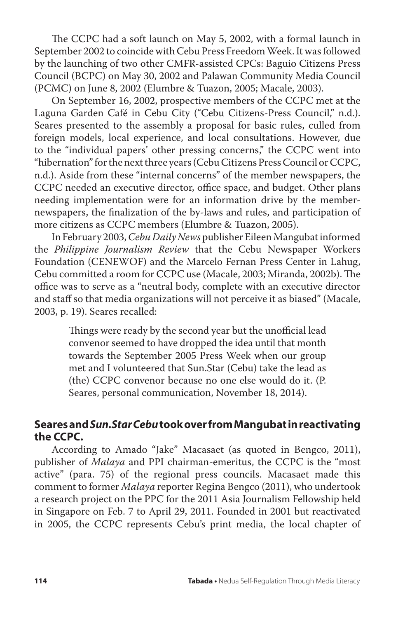The CCPC had a soft launch on May 5, 2002, with a formal launch in September 2002 to coincide with Cebu Press Freedom Week. It was followed by the launching of two other CMFR-assisted CPCs: Baguio Citizens Press Council (BCPC) on May 30, 2002 and Palawan Community Media Council (PCMC) on June 8, 2002 (Elumbre & Tuazon, 2005; Macale, 2003).

On September 16, 2002, prospective members of the CCPC met at the Laguna Garden Café in Cebu City ("Cebu Citizens-Press Council," n.d.). Seares presented to the assembly a proposal for basic rules, culled from foreign models, local experience, and local consultations. However, due to the "individual papers' other pressing concerns," the CCPC went into "hibernation" for the next three years (Cebu Citizens Press Council or CCPC, n.d.). Aside from these "internal concerns" of the member newspapers, the CCPC needed an executive director, office space, and budget. Other plans needing implementation were for an information drive by the membernewspapers, the finalization of the by-laws and rules, and participation of more citizens as CCPC members (Elumbre & Tuazon, 2005).

In February 2003, *Cebu Daily News* publisher Eileen Mangubat informed the *Philippine Journalism Review* that the Cebu Newspaper Workers Foundation (CENEWOF) and the Marcelo Fernan Press Center in Lahug, Cebu committed a room for CCPC use (Macale, 2003; Miranda, 2002b). The office was to serve as a "neutral body, complete with an executive director and staff so that media organizations will not perceive it as biased" (Macale, 2003, p. 19). Seares recalled:

> Things were ready by the second year but the unofficial lead convenor seemed to have dropped the idea until that month towards the September 2005 Press Week when our group met and I volunteered that Sun.Star (Cebu) take the lead as (the) CCPC convenor because no one else would do it. (P. Seares, personal communication, November 18, 2014).

# **Seares and** *Sun.Star Cebu* **took over from Mangubat in reactivating the CCPC.**

According to Amado "Jake" Macasaet (as quoted in Bengco, 2011), publisher of *Malaya* and PPI chairman-emeritus, the CCPC is the "most active" (para. 75) of the regional press councils. Macasaet made this comment to former *Malaya* reporter Regina Bengco (2011), who undertook a research project on the PPC for the 2011 Asia Journalism Fellowship held in Singapore on Feb. 7 to April 29, 2011. Founded in 2001 but reactivated in 2005, the CCPC represents Cebu's print media, the local chapter of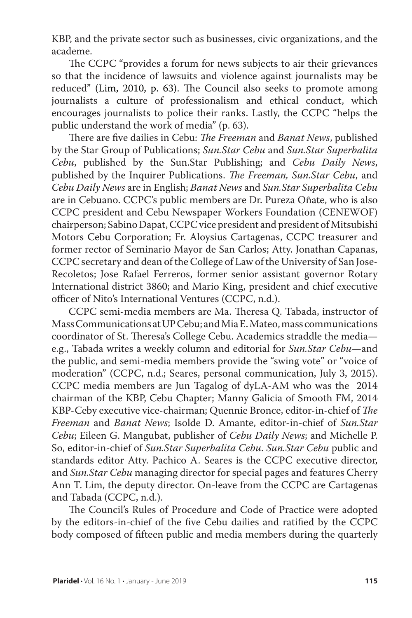KBP, and the private sector such as businesses, civic organizations, and the academe.

The CCPC "provides a forum for news subjects to air their grievances so that the incidence of lawsuits and violence against journalists may be reduced" (Lim, 2010, p. 63). The Council also seeks to promote among journalists a culture of professionalism and ethical conduct, which encourages journalists to police their ranks. Lastly, the CCPC "helps the public understand the work of media" (p. 63).

There are five dailies in Cebu: *The Freeman* and *Banat News*, published by the Star Group of Publications; *Sun.Star Cebu* and *Sun.Star Superbalita Cebu*, published by the Sun.Star Publishing; and *Cebu Daily News*, published by the Inquirer Publications. *The Freeman, Sun.Star Cebu*, and *Cebu Daily News* are in English; *Banat News* and *Sun.Star Superbalita Cebu*  are in Cebuano. CCPC's public members are Dr. Pureza Oñate, who is also CCPC president and Cebu Newspaper Workers Foundation (CENEWOF) chairperson; Sabino Dapat, CCPC vice president and president of Mitsubishi Motors Cebu Corporation; Fr. Aloysius Cartagenas, CCPC treasurer and former rector of Seminario Mayor de San Carlos; Atty. Jonathan Capanas, CCPC secretary and dean of the College of Law of the University of San Jose-Recoletos; Jose Rafael Ferreros, former senior assistant governor Rotary International district 3860; and Mario King, president and chief executive officer of Nito's International Ventures (CCPC, n.d.).

CCPC semi-media members are Ma. Theresa Q. Tabada, instructor of Mass Communications at UP Cebu; and Mia E. Mateo, mass communications coordinator of St. Theresa's College Cebu. Academics straddle the media e.g., Tabada writes a weekly column and editorial for *Sun.Star Cebu*—and the public, and semi-media members provide the "swing vote" or "voice of moderation" (CCPC, n.d.; Seares, personal communication, July 3, 2015). CCPC media members are Jun Tagalog of dyLA-AM who was the 2014 chairman of the KBP, Cebu Chapter; Manny Galicia of Smooth FM, 2014 KBP-Ceby executive vice-chairman; Quennie Bronce, editor-in-chief of *The Freeman* and *Banat News*; Isolde D. Amante, editor-in-chief of *Sun.Star Cebu*; Eileen G. Mangubat, publisher of *Cebu Daily News*; and Michelle P. So, editor-in-chief of *Sun.Star Superbalita Cebu*. *Sun.Star Cebu* public and standards editor Atty. Pachico A. Seares is the CCPC executive director, and *Sun.Star Cebu* managing director for special pages and features Cherry Ann T. Lim, the deputy director. On-leave from the CCPC are Cartagenas and Tabada (CCPC, n.d.).

The Council's Rules of Procedure and Code of Practice were adopted by the editors-in-chief of the five Cebu dailies and ratified by the CCPC body composed of fifteen public and media members during the quarterly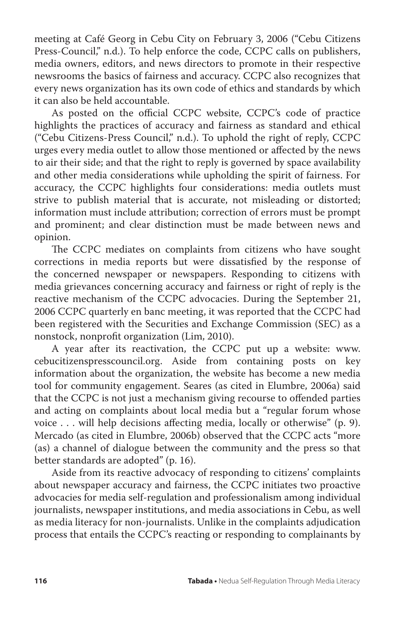meeting at Café Georg in Cebu City on February 3, 2006 ("Cebu Citizens Press-Council," n.d.). To help enforce the code, CCPC calls on publishers, media owners, editors, and news directors to promote in their respective newsrooms the basics of fairness and accuracy. CCPC also recognizes that every news organization has its own code of ethics and standards by which it can also be held accountable.

As posted on the official CCPC website, CCPC's code of practice highlights the practices of accuracy and fairness as standard and ethical ("Cebu Citizens-Press Council," n.d.). To uphold the right of reply, CCPC urges every media outlet to allow those mentioned or affected by the news to air their side; and that the right to reply is governed by space availability and other media considerations while upholding the spirit of fairness. For accuracy, the CCPC highlights four considerations: media outlets must strive to publish material that is accurate, not misleading or distorted; information must include attribution; correction of errors must be prompt and prominent; and clear distinction must be made between news and opinion.

The CCPC mediates on complaints from citizens who have sought corrections in media reports but were dissatisfied by the response of the concerned newspaper or newspapers. Responding to citizens with media grievances concerning accuracy and fairness or right of reply is the reactive mechanism of the CCPC advocacies. During the September 21, 2006 CCPC quarterly en banc meeting, it was reported that the CCPC had been registered with the Securities and Exchange Commission (SEC) as a nonstock, nonprofit organization (Lim, 2010).

A year after its reactivation, the CCPC put up a website: www. cebucitizenspresscouncil.org. Aside from containing posts on key information about the organization, the website has become a new media tool for community engagement. Seares (as cited in Elumbre, 2006a) said that the CCPC is not just a mechanism giving recourse to offended parties and acting on complaints about local media but a "regular forum whose voice . . . will help decisions affecting media, locally or otherwise" (p. 9). Mercado (as cited in Elumbre, 2006b) observed that the CCPC acts "more (as) a channel of dialogue between the community and the press so that better standards are adopted" (p. 16).

Aside from its reactive advocacy of responding to citizens' complaints about newspaper accuracy and fairness, the CCPC initiates two proactive advocacies for media self-regulation and professionalism among individual journalists, newspaper institutions, and media associations in Cebu, as well as media literacy for non-journalists. Unlike in the complaints adjudication process that entails the CCPC's reacting or responding to complainants by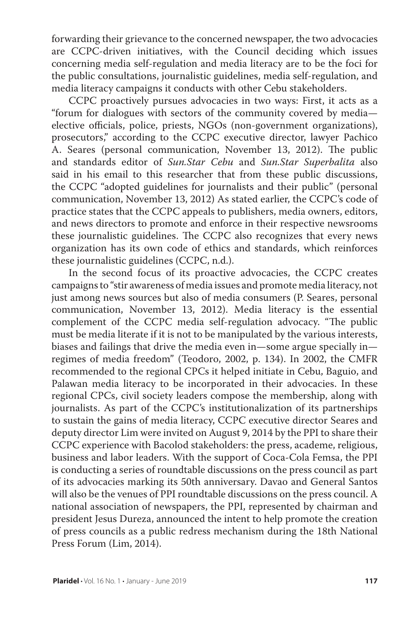forwarding their grievance to the concerned newspaper, the two advocacies are CCPC-driven initiatives, with the Council deciding which issues concerning media self-regulation and media literacy are to be the foci for the public consultations, journalistic guidelines, media self-regulation, and media literacy campaigns it conducts with other Cebu stakeholders.

CCPC proactively pursues advocacies in two ways: First, it acts as a "forum for dialogues with sectors of the community covered by media elective officials, police, priests, NGOs (non-government organizations), prosecutors," according to the CCPC executive director, lawyer Pachico A. Seares (personal communication, November 13, 2012). The public and standards editor of *Sun.Star Cebu* and *Sun.Star Superbalita* also said in his email to this researcher that from these public discussions, the CCPC "adopted guidelines for journalists and their public" (personal communication, November 13, 2012) As stated earlier, the CCPC's code of practice states that the CCPC appeals to publishers, media owners, editors, and news directors to promote and enforce in their respective newsrooms these journalistic guidelines. The CCPC also recognizes that every news organization has its own code of ethics and standards, which reinforces these journalistic guidelines (CCPC, n.d.).

In the second focus of its proactive advocacies, the CCPC creates campaigns to "stir awareness of media issues and promote media literacy, not just among news sources but also of media consumers (P. Seares, personal communication, November 13, 2012). Media literacy is the essential complement of the CCPC media self-regulation advocacy. "The public must be media literate if it is not to be manipulated by the various interests, biases and failings that drive the media even in—some argue specially in regimes of media freedom" (Teodoro, 2002, p. 134). In 2002, the CMFR recommended to the regional CPCs it helped initiate in Cebu, Baguio, and Palawan media literacy to be incorporated in their advocacies. In these regional CPCs, civil society leaders compose the membership, along with journalists. As part of the CCPC's institutionalization of its partnerships to sustain the gains of media literacy, CCPC executive director Seares and deputy director Lim were invited on August 9, 2014 by the PPI to share their CCPC experience with Bacolod stakeholders: the press, academe, religious, business and labor leaders. With the support of Coca-Cola Femsa, the PPI is conducting a series of roundtable discussions on the press council as part of its advocacies marking its 50th anniversary. Davao and General Santos will also be the venues of PPI roundtable discussions on the press council. A national association of newspapers, the PPI, represented by chairman and president Jesus Dureza, announced the intent to help promote the creation of press councils as a public redress mechanism during the 18th National Press Forum (Lim, 2014).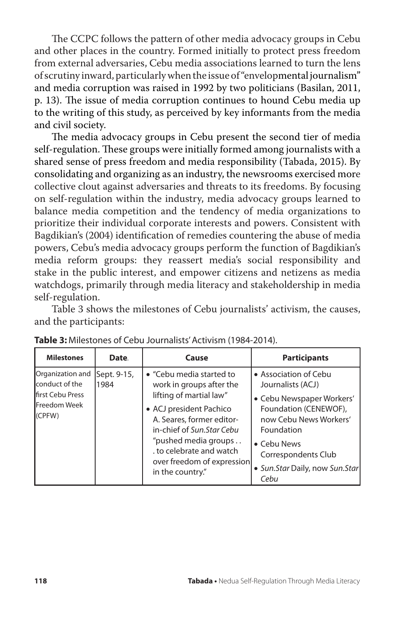The CCPC follows the pattern of other media advocacy groups in Cebu and other places in the country. Formed initially to protect press freedom from external adversaries, Cebu media associations learned to turn the lens of scrutiny inward, particularly when the issue of "envelopmental journalism" and media corruption was raised in 1992 by two politicians (Basilan, 2011, p. 13). The issue of media corruption continues to hound Cebu media up to the writing of this study, as perceived by key informants from the media and civil society.

The media advocacy groups in Cebu present the second tier of media self-regulation. These groups were initially formed among journalists with a shared sense of press freedom and media responsibility (Tabada, 2015). By consolidating and organizing as an industry, the newsrooms exercised more collective clout against adversaries and threats to its freedoms. By focusing on self-regulation within the industry, media advocacy groups learned to balance media competition and the tendency of media organizations to prioritize their individual corporate interests and powers. Consistent with Bagdikian's (2004) identification of remedies countering the abuse of media powers, Cebu's media advocacy groups perform the function of Bagdikian's media reform groups: they reassert media's social responsibility and stake in the public interest, and empower citizens and netizens as media watchdogs, primarily through media literacy and stakeholdership in media self-regulation.

Table 3 shows the milestones of Cebu journalists' activism, the causes, and the participants:

| <b>Milestones</b>                                                          | Date. | Cause                                                                                            | <b>Participants</b>                                                          |
|----------------------------------------------------------------------------|-------|--------------------------------------------------------------------------------------------------|------------------------------------------------------------------------------|
| Organization and Sept. 9-15,<br>conduct of the<br><b>Ifirst Cebu Press</b> | 1984  | • "Cebu media started to<br>work in groups after the<br>lifting of martial law"                  | • Association of Cebu<br>Journalists (ACJ)<br>· Cebu Newspaper Workers'      |
| <b>Freedom Week</b><br>(CPFW)                                              |       | • ACJ president Pachico<br>A. Seares, former editor-<br>in-chief of Sun.Star Cebu                | Foundation (CENEWOF),<br>now Cebu News Workers'<br>Foundation                |
|                                                                            |       | "pushed media groups<br>to celebrate and watch<br>over freedom of expression<br>in the country." | • Cebu News<br>Correspondents Club<br>• Sun.Star Daily, now Sun.Star<br>Cebu |

|  |  | Table 3: Milestones of Cebu Journalists' Activism (1984-2014). |
|--|--|----------------------------------------------------------------|
|--|--|----------------------------------------------------------------|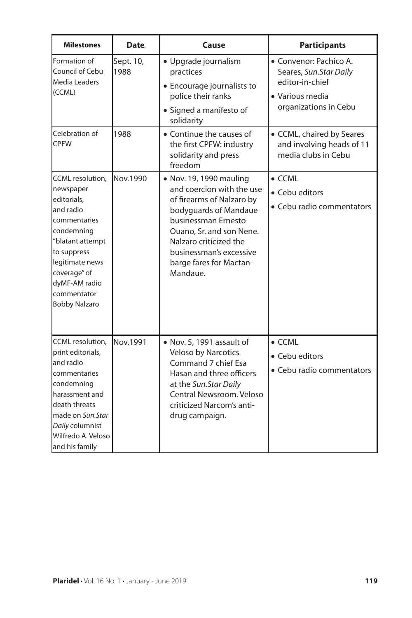| <b>Milestones</b>                                                                                                                                                                                                       | Date.             | Cause                                                                                                                                                                                                                                                     | <b>Participants</b>                                                                                             |
|-------------------------------------------------------------------------------------------------------------------------------------------------------------------------------------------------------------------------|-------------------|-----------------------------------------------------------------------------------------------------------------------------------------------------------------------------------------------------------------------------------------------------------|-----------------------------------------------------------------------------------------------------------------|
| Formation of<br>Council of Cebu<br>Media Leaders<br>(CCML)                                                                                                                                                              | Sept. 10,<br>1988 | · Upgrade journalism<br>practices<br>• Encourage journalists to<br>police their ranks<br>• Signed a manifesto of<br>solidarity                                                                                                                            | · Convenor: Pachico A.<br>Seares, Sun.Star Daily<br>editor-in-chief<br>• Various media<br>organizations in Cebu |
| Celebration of<br><b>CPFW</b>                                                                                                                                                                                           | 1988              | • Continue the causes of<br>the first CPFW: industry<br>solidarity and press<br>freedom                                                                                                                                                                   | • CCML, chaired by Seares<br>and involving heads of 11<br>media clubs in Cebu                                   |
| CCML resolution,<br>newspaper<br>editorials,<br>land radio<br>commentaries<br>condemning<br>"blatant attempt<br>to suppress<br>legitimate news<br>coverage" of<br>dyMF-AM radio<br>lcommentator<br><b>Bobby Nalzaro</b> | Nov.1990          | • Nov. 19, 1990 mauling<br>and coercion with the use<br>of firearms of Nalzaro by<br>bodyguards of Mandaue<br>businessman Ernesto<br>Ouano, Sr. and son Nene.<br>Nalzaro criticized the<br>businessman's excessive<br>barge fares for Mactan-<br>Mandaue. | $\bullet$ CCML<br>• Cebu editors<br>• Cebu radio commentators                                                   |
| CCML resolution,<br>print editorials,<br>land radio<br>commentaries<br>condemning<br>harassment and<br>death threats<br>lmade on <i>Sun.Star</i><br>Daily columnist<br>Wilfredo A. Veloso<br>and his family             | Nov.1991          | • Nov. 5, 1991 assault of<br>Veloso by Narcotics<br>Command 7 chief Esa<br>Hasan and three officers<br>at the Sun.Star Daily<br>Central Newsroom, Veloso<br>criticized Narcom's anti-<br>drug campaign.                                                   | $\bullet$ CCML<br>• Cebu editors<br>• Cebu radio commentators                                                   |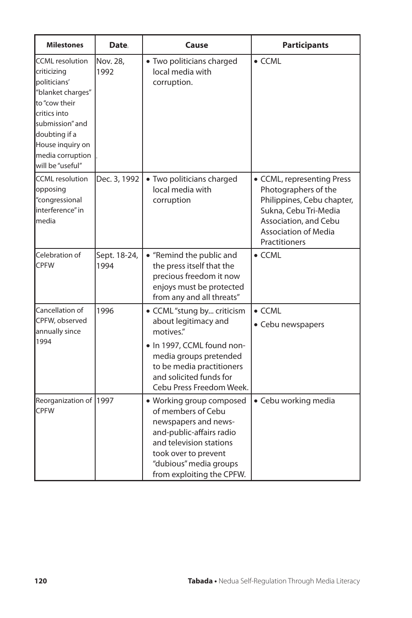| <b>Milestones</b>                                                                                                                                                                                           | Date.                | Cause                                                                                                                                                                                                        | <b>Participants</b>                                                                                                                                                                |
|-------------------------------------------------------------------------------------------------------------------------------------------------------------------------------------------------------------|----------------------|--------------------------------------------------------------------------------------------------------------------------------------------------------------------------------------------------------------|------------------------------------------------------------------------------------------------------------------------------------------------------------------------------------|
| <b>CCML</b> resolution<br>criticizing<br>politicians'<br>"blanket charges"<br>to "cow their<br>critics into<br>submission" and<br>doubting if a<br>House inquiry on<br>media corruption<br>will be "useful" | Nov. 28.<br>1992     | · Two politicians charged<br>local media with<br>corruption.                                                                                                                                                 | $\bullet$ CCML                                                                                                                                                                     |
| <b>CCML</b> resolution<br>opposing<br>"congressional<br>interference" in<br>lmedia                                                                                                                          | Dec. 3, 1992         | · Two politicians charged<br>local media with<br>corruption                                                                                                                                                  | • CCML, representing Press<br>Photographers of the<br>Philippines, Cebu chapter,<br>Sukna, Cebu Tri-Media<br>Association, and Cebu<br><b>Association of Media</b><br>Practitioners |
| Celebration of<br><b>CPFW</b>                                                                                                                                                                               | Sept. 18-24,<br>1994 | • "Remind the public and<br>the press itself that the<br>precious freedom it now<br>enjoys must be protected<br>from any and all threats"                                                                    | $\bullet$ CCML                                                                                                                                                                     |
| Cancellation of<br>CPFW, observed<br>annually since<br>1994                                                                                                                                                 | 1996                 | • CCML "stung by criticism<br>about legitimacy and<br>motives."<br>· In 1997, CCML found non-<br>media groups pretended<br>to be media practitioners<br>and solicited funds for<br>Cebu Press Freedom Week.  | $\bullet$ CCML<br>• Cebu newspapers                                                                                                                                                |
| Reorganization of 1997<br><b>CPFW</b>                                                                                                                                                                       |                      | · Working group composed<br>of members of Cebu<br>newspapers and news-<br>and-public-affairs radio<br>and television stations<br>took over to prevent<br>"dubious" media groups<br>from exploiting the CPFW. | · Cebu working media                                                                                                                                                               |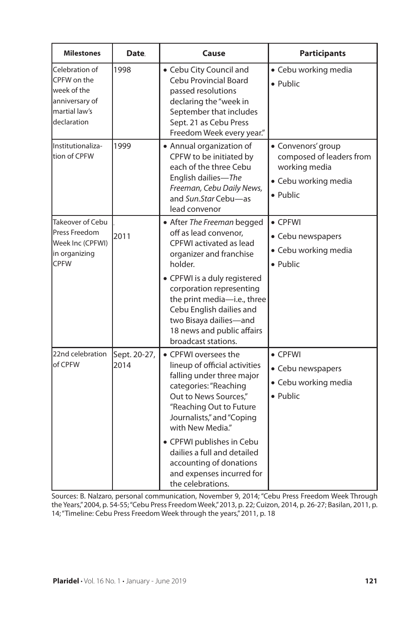| <b>Milestones</b>                                                                               | Date.                | Cause                                                                                                                                                                                                                                                                                                                                                     | <b>Participants</b>                                                                                 |
|-------------------------------------------------------------------------------------------------|----------------------|-----------------------------------------------------------------------------------------------------------------------------------------------------------------------------------------------------------------------------------------------------------------------------------------------------------------------------------------------------------|-----------------------------------------------------------------------------------------------------|
| Celebration of<br>CPFW on the<br>week of the<br>anniversary of<br>lmartial law's<br>declaration | 1998                 | • Cebu City Council and<br>Cebu Provincial Board<br>passed resolutions<br>declaring the "week in<br>September that includes<br>Sept. 21 as Cebu Press<br>Freedom Week every year."                                                                                                                                                                        | • Cebu working media<br>• Public                                                                    |
| Institutionaliza-<br>tion of CPFW                                                               | 1999                 | • Annual organization of<br>CPFW to be initiated by<br>each of the three Cebu<br>English dailies—The<br>Freeman, Cebu Daily News,<br>and Sun.Star Cebu-as<br>lead convenor                                                                                                                                                                                | · Convenors' group<br>composed of leaders from<br>working media<br>· Cebu working media<br>• Public |
| <b>Takeover of Cebu</b><br>Press Freedom<br>Week Inc (CPFWI)<br>in organizing<br><b>CPFW</b>    | 2011                 | • After The Freeman begged<br>off as lead convenor.<br>CPFWI activated as lead<br>organizer and franchise<br>holder.<br>• CPFWI is a duly registered<br>corporation representing<br>the print media-i.e., three<br>Cebu English dailies and<br>two Bisaya dailies-and<br>18 news and public affairs<br>broadcast stations.                                | $\bullet$ CPFWI<br>• Cebu newspapers<br>· Cebu working media<br>• Public                            |
| 22nd celebration<br>of CPFW                                                                     | Sept. 20-27,<br>2014 | • CPFWI oversees the<br>lineup of official activities<br>falling under three major<br>categories: "Reaching<br>Out to News Sources."<br>"Reaching Out to Future<br>Journalists," and "Coping<br>with New Media."<br>• CPFWI publishes in Cebu<br>dailies a full and detailed<br>accounting of donations<br>and expenses incurred for<br>the celebrations. | $\bullet$ CPFWI<br>• Cebu newspapers<br>· Cebu working media<br>• Public                            |

Sources: B. Nalzaro, personal communication, November 9, 2014; "Cebu Press Freedom Week Through the Years," 2004, p. 54-55; "Cebu Press Freedom Week," 2013, p. 22; Cuizon, 2014, p. 26-27; Basilan, 2011, p. 14; "Timeline: Cebu Press Freedom Week through the years," 2011, p. 18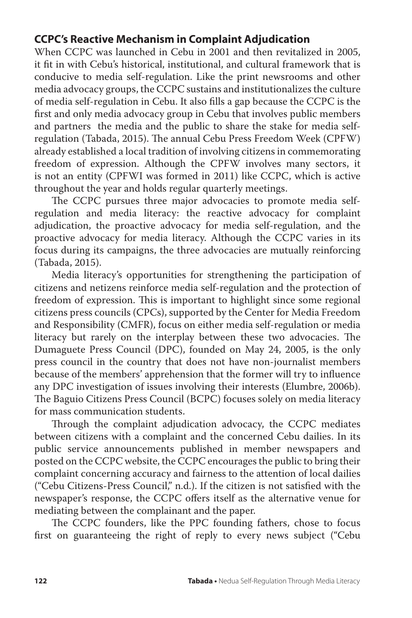# **CCPC's Reactive Mechanism in Complaint Adjudication**

When CCPC was launched in Cebu in 2001 and then revitalized in 2005, it fit in with Cebu's historical, institutional, and cultural framework that is conducive to media self-regulation. Like the print newsrooms and other media advocacy groups, the CCPC sustains and institutionalizes the culture of media self-regulation in Cebu. It also fills a gap because the CCPC is the first and only media advocacy group in Cebu that involves public members and partners the media and the public to share the stake for media selfregulation (Tabada, 2015). The annual Cebu Press Freedom Week (CPFW) already established a local tradition of involving citizens in commemorating freedom of expression. Although the CPFW involves many sectors, it is not an entity (CPFWI was formed in 2011) like CCPC, which is active throughout the year and holds regular quarterly meetings.

The CCPC pursues three major advocacies to promote media selfregulation and media literacy: the reactive advocacy for complaint adjudication, the proactive advocacy for media self-regulation, and the proactive advocacy for media literacy. Although the CCPC varies in its focus during its campaigns, the three advocacies are mutually reinforcing (Tabada, 2015).

Media literacy's opportunities for strengthening the participation of citizens and netizens reinforce media self-regulation and the protection of freedom of expression. This is important to highlight since some regional citizens press councils (CPCs), supported by the Center for Media Freedom and Responsibility (CMFR), focus on either media self-regulation or media literacy but rarely on the interplay between these two advocacies. The Dumaguete Press Council (DPC), founded on May 24, 2005, is the only press council in the country that does not have non-journalist members because of the members' apprehension that the former will try to influence any DPC investigation of issues involving their interests (Elumbre, 2006b). The Baguio Citizens Press Council (BCPC) focuses solely on media literacy for mass communication students.

Through the complaint adjudication advocacy, the CCPC mediates between citizens with a complaint and the concerned Cebu dailies. In its public service announcements published in member newspapers and posted on the CCPC website, the CCPC encourages the public to bring their complaint concerning accuracy and fairness to the attention of local dailies ("Cebu Citizens-Press Council," n.d.). If the citizen is not satisfied with the newspaper's response, the CCPC offers itself as the alternative venue for mediating between the complainant and the paper.

The CCPC founders, like the PPC founding fathers, chose to focus first on guaranteeing the right of reply to every news subject ("Cebu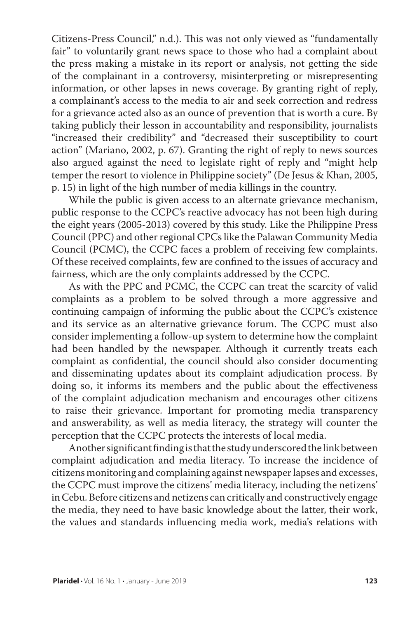Citizens-Press Council," n.d.). This was not only viewed as "fundamentally fair" to voluntarily grant news space to those who had a complaint about the press making a mistake in its report or analysis, not getting the side of the complainant in a controversy, misinterpreting or misrepresenting information, or other lapses in news coverage. By granting right of reply, a complainant's access to the media to air and seek correction and redress for a grievance acted also as an ounce of prevention that is worth a cure. By taking publicly their lesson in accountability and responsibility, journalists "increased their credibility" and "decreased their susceptibility to court action" (Mariano, 2002, p. 67). Granting the right of reply to news sources also argued against the need to legislate right of reply and "might help temper the resort to violence in Philippine society" (De Jesus & Khan, 2005, p. 15) in light of the high number of media killings in the country.

While the public is given access to an alternate grievance mechanism, public response to the CCPC's reactive advocacy has not been high during the eight years (2005-2013) covered by this study. Like the Philippine Press Council (PPC) and other regional CPCs like the Palawan Community Media Council (PCMC), the CCPC faces a problem of receiving few complaints. Of these received complaints, few are confined to the issues of accuracy and fairness, which are the only complaints addressed by the CCPC.

As with the PPC and PCMC, the CCPC can treat the scarcity of valid complaints as a problem to be solved through a more aggressive and continuing campaign of informing the public about the CCPC's existence and its service as an alternative grievance forum. The CCPC must also consider implementing a follow-up system to determine how the complaint had been handled by the newspaper. Although it currently treats each complaint as confidential, the council should also consider documenting and disseminating updates about its complaint adjudication process. By doing so, it informs its members and the public about the effectiveness of the complaint adjudication mechanism and encourages other citizens to raise their grievance. Important for promoting media transparency and answerability, as well as media literacy, the strategy will counter the perception that the CCPC protects the interests of local media.

Another significant finding is that the study underscored the link between complaint adjudication and media literacy. To increase the incidence of citizens monitoring and complaining against newspaper lapses and excesses, the CCPC must improve the citizens' media literacy, including the netizens' in Cebu. Before citizens and netizens can critically and constructively engage the media, they need to have basic knowledge about the latter, their work, the values and standards influencing media work, media's relations with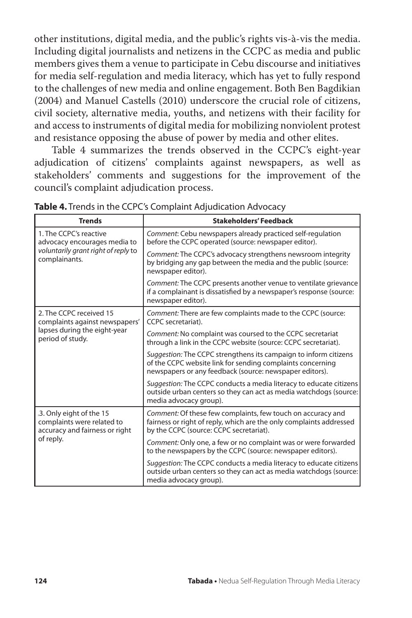other institutions, digital media, and the public's rights vis-à-vis the media. Including digital journalists and netizens in the CCPC as media and public members gives them a venue to participate in Cebu discourse and initiatives for media self-regulation and media literacy, which has yet to fully respond to the challenges of new media and online engagement. Both Ben Bagdikian (2004) and Manuel Castells (2010) underscore the crucial role of citizens, civil society, alternative media, youths, and netizens with their facility for and access to instruments of digital media for mobilizing nonviolent protest and resistance opposing the abuse of power by media and other elites.

Table 4 summarizes the trends observed in the CCPC's eight-year adjudication of citizens' complaints against newspapers, as well as stakeholders' comments and suggestions for the improvement of the council's complaint adjudication process.

| <b>Trends</b>                                                                                                  | <b>Stakeholders' Feedback</b>                                                                                                                                                             |
|----------------------------------------------------------------------------------------------------------------|-------------------------------------------------------------------------------------------------------------------------------------------------------------------------------------------|
| 1. The CCPC's reactive<br>advocacy encourages media to<br>voluntarily grant right of reply to<br>complainants. | Comment: Cebu newspapers already practiced self-regulation<br>before the CCPC operated (source: newspaper editor).                                                                        |
|                                                                                                                | Comment: The CCPC's advocacy strengthens newsroom integrity<br>by bridging any gap between the media and the public (source:<br>newspaper editor).                                        |
|                                                                                                                | Comment: The CCPC presents another venue to ventilate grievance<br>if a complainant is dissatisfied by a newspaper's response (source:<br>newspaper editor).                              |
| 2. The CCPC received 15<br>complaints against newspapers'                                                      | Comment: There are few complaints made to the CCPC (source:<br>CCPC secretariat).                                                                                                         |
| lapses during the eight-year<br>period of study.                                                               | Comment: No complaint was coursed to the CCPC secretariat<br>through a link in the CCPC website (source: CCPC secretariat).                                                               |
|                                                                                                                | Suggestion: The CCPC strengthens its campaign to inform citizens<br>of the CCPC website link for sending complaints concerning<br>newspapers or any feedback (source: newspaper editors). |
|                                                                                                                | Suggestion: The CCPC conducts a media literacy to educate citizens<br>outside urban centers so they can act as media watchdogs (source:<br>media advocacy group).                         |
| 3. Only eight of the 15<br>complaints were related to<br>accuracy and fairness or right                        | Comment: Of these few complaints, few touch on accuracy and<br>fairness or right of reply, which are the only complaints addressed<br>by the CCPC (source: CCPC secretariat).             |
| of reply.                                                                                                      | Comment: Only one, a few or no complaint was or were forwarded<br>to the newspapers by the CCPC (source: newspaper editors).                                                              |
|                                                                                                                | Suggestion: The CCPC conducts a media literacy to educate citizens<br>outside urban centers so they can act as media watchdogs (source:<br>media advocacy group).                         |

**Table 4.** Trends in the CCPC's Complaint Adjudication Advocacy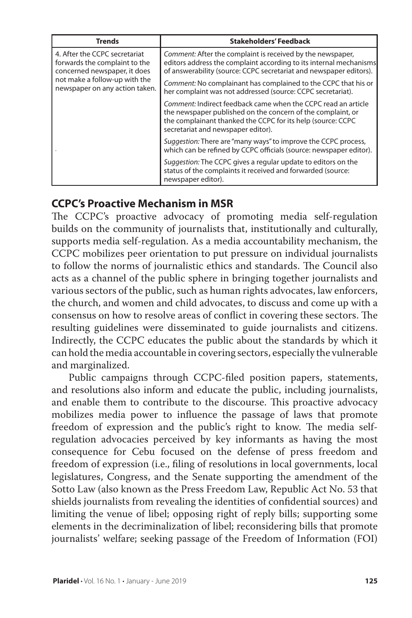| <b>Trends</b>                                                                                  | <b>Stakeholders' Feedback</b>                                                                                                                                                                                                     |
|------------------------------------------------------------------------------------------------|-----------------------------------------------------------------------------------------------------------------------------------------------------------------------------------------------------------------------------------|
| 4. After the CCPC secretariat<br>forwards the complaint to the<br>concerned newspaper, it does | Comment: After the complaint is received by the newspaper,<br>editors address the complaint according to its internal mechanisms<br>of answerability (source: CCPC secretariat and newspaper editors).                            |
| not make a follow-up with the<br>newspaper on any action taken.                                | Comment: No complainant has complained to the CCPC that his or<br>her complaint was not addressed (source: CCPC secretariat).                                                                                                     |
|                                                                                                | Comment: Indirect feedback came when the CCPC read an article<br>the newspaper published on the concern of the complaint, or<br>the complainant thanked the CCPC for its help (source: CCPC<br>secretariat and newspaper editor). |
|                                                                                                | Suggestion: There are "many ways" to improve the CCPC process,<br>which can be refined by CCPC officials (source: newspaper editor).                                                                                              |
|                                                                                                | Suggestion: The CCPC gives a regular update to editors on the<br>status of the complaints it received and forwarded (source:<br>newspaper editor).                                                                                |

# **CCPC's Proactive Mechanism in MSR**

The CCPC's proactive advocacy of promoting media self-regulation builds on the community of journalists that, institutionally and culturally, supports media self-regulation. As a media accountability mechanism, the CCPC mobilizes peer orientation to put pressure on individual journalists to follow the norms of journalistic ethics and standards. The Council also acts as a channel of the public sphere in bringing together journalists and various sectors of the public, such as human rights advocates, law enforcers, the church, and women and child advocates, to discuss and come up with a consensus on how to resolve areas of conflict in covering these sectors. The resulting guidelines were disseminated to guide journalists and citizens. Indirectly, the CCPC educates the public about the standards by which it can hold the media accountable in covering sectors, especially the vulnerable and marginalized.

Public campaigns through CCPC-filed position papers, statements, and resolutions also inform and educate the public, including journalists, and enable them to contribute to the discourse. This proactive advocacy mobilizes media power to influence the passage of laws that promote freedom of expression and the public's right to know. The media selfregulation advocacies perceived by key informants as having the most consequence for Cebu focused on the defense of press freedom and freedom of expression (i.e., filing of resolutions in local governments, local legislatures, Congress, and the Senate supporting the amendment of the Sotto Law (also known as the Press Freedom Law, Republic Act No. 53 that shields journalists from revealing the identities of confidential sources) and limiting the venue of libel; opposing right of reply bills; supporting some elements in the decriminalization of libel; reconsidering bills that promote journalists' welfare; seeking passage of the Freedom of Information (FOI)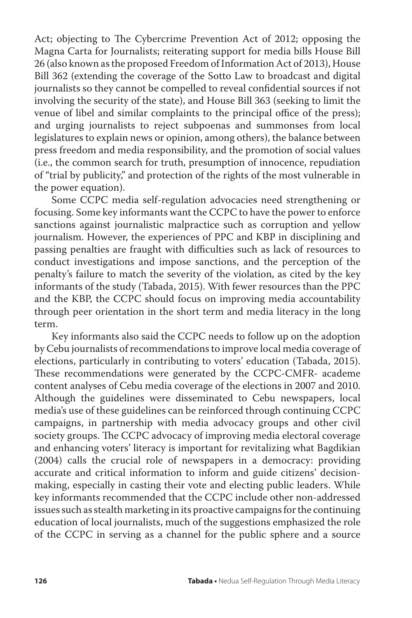Act; objecting to The Cybercrime Prevention Act of 2012; opposing the Magna Carta for Journalists; reiterating support for media bills House Bill 26 (also known as the proposed Freedom of Information Act of 2013), House Bill 362 (extending the coverage of the Sotto Law to broadcast and digital journalists so they cannot be compelled to reveal confidential sources if not involving the security of the state), and House Bill 363 (seeking to limit the venue of libel and similar complaints to the principal office of the press); and urging journalists to reject subpoenas and summonses from local legislatures to explain news or opinion, among others), the balance between press freedom and media responsibility, and the promotion of social values (i.e., the common search for truth, presumption of innocence, repudiation of "trial by publicity," and protection of the rights of the most vulnerable in the power equation).

Some CCPC media self-regulation advocacies need strengthening or focusing. Some key informants want the CCPC to have the power to enforce sanctions against journalistic malpractice such as corruption and yellow journalism. However, the experiences of PPC and KBP in disciplining and passing penalties are fraught with difficulties such as lack of resources to conduct investigations and impose sanctions, and the perception of the penalty's failure to match the severity of the violation, as cited by the key informants of the study (Tabada, 2015). With fewer resources than the PPC and the KBP, the CCPC should focus on improving media accountability through peer orientation in the short term and media literacy in the long term.

Key informants also said the CCPC needs to follow up on the adoption by Cebu journalists of recommendations to improve local media coverage of elections, particularly in contributing to voters' education (Tabada, 2015). These recommendations were generated by the CCPC-CMFR- academe content analyses of Cebu media coverage of the elections in 2007 and 2010. Although the guidelines were disseminated to Cebu newspapers, local media's use of these guidelines can be reinforced through continuing CCPC campaigns, in partnership with media advocacy groups and other civil society groups. The CCPC advocacy of improving media electoral coverage and enhancing voters' literacy is important for revitalizing what Bagdikian (2004) calls the crucial role of newspapers in a democracy: providing accurate and critical information to inform and guide citizens' decisionmaking, especially in casting their vote and electing public leaders. While key informants recommended that the CCPC include other non-addressed issues such as stealth marketing in its proactive campaigns for the continuing education of local journalists, much of the suggestions emphasized the role of the CCPC in serving as a channel for the public sphere and a source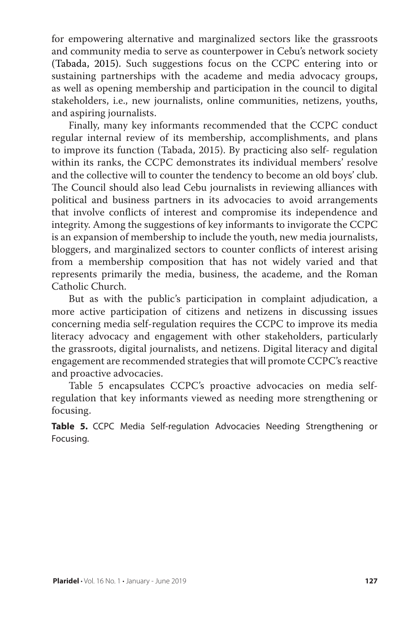for empowering alternative and marginalized sectors like the grassroots and community media to serve as counterpower in Cebu's network society (Tabada, 2015). Such suggestions focus on the CCPC entering into or sustaining partnerships with the academe and media advocacy groups, as well as opening membership and participation in the council to digital stakeholders, i.e., new journalists, online communities, netizens, youths, and aspiring journalists.

Finally, many key informants recommended that the CCPC conduct regular internal review of its membership, accomplishments, and plans to improve its function (Tabada, 2015). By practicing also self- regulation within its ranks, the CCPC demonstrates its individual members' resolve and the collective will to counter the tendency to become an old boys' club. The Council should also lead Cebu journalists in reviewing alliances with political and business partners in its advocacies to avoid arrangements that involve conflicts of interest and compromise its independence and integrity. Among the suggestions of key informants to invigorate the CCPC is an expansion of membership to include the youth, new media journalists, bloggers, and marginalized sectors to counter conflicts of interest arising from a membership composition that has not widely varied and that represents primarily the media, business, the academe, and the Roman Catholic Church.

But as with the public's participation in complaint adjudication, a more active participation of citizens and netizens in discussing issues concerning media self-regulation requires the CCPC to improve its media literacy advocacy and engagement with other stakeholders, particularly the grassroots, digital journalists, and netizens. Digital literacy and digital engagement are recommended strategies that will promote CCPC's reactive and proactive advocacies.

Table 5 encapsulates CCPC's proactive advocacies on media selfregulation that key informants viewed as needing more strengthening or focusing.

**Table 5.** CCPC Media Self-regulation Advocacies Needing Strengthening or Focusing.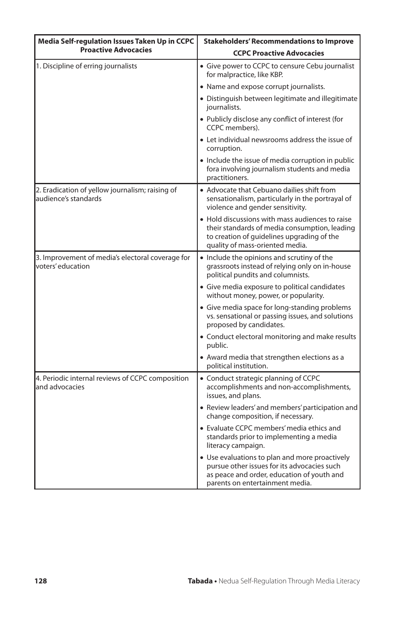| Media Self-regulation Issues Taken Up in CCPC                            | <b>Stakeholders' Recommendations to Improve</b>                                                                                                                                   |  |
|--------------------------------------------------------------------------|-----------------------------------------------------------------------------------------------------------------------------------------------------------------------------------|--|
| <b>Proactive Advocacies</b>                                              | <b>CCPC Proactive Advocacies</b>                                                                                                                                                  |  |
| 1. Discipline of erring journalists                                      | • Give power to CCPC to censure Cebu journalist<br>for malpractice, like KBP.                                                                                                     |  |
|                                                                          | • Name and expose corrupt journalists.                                                                                                                                            |  |
|                                                                          | • Distinguish between legitimate and illegitimate<br>journalists.                                                                                                                 |  |
|                                                                          | • Publicly disclose any conflict of interest (for<br>CCPC members).                                                                                                               |  |
|                                                                          | • Let individual newsrooms address the issue of<br>corruption.                                                                                                                    |  |
|                                                                          | • Include the issue of media corruption in public<br>fora involving journalism students and media<br>practitioners.                                                               |  |
| 2. Eradication of yellow journalism; raising of<br>laudience's standards | • Advocate that Cebuano dailies shift from<br>sensationalism, particularly in the portrayal of<br>violence and gender sensitivity.                                                |  |
|                                                                          | • Hold discussions with mass audiences to raise<br>their standards of media consumption, leading<br>to creation of quidelines upgrading of the<br>quality of mass-oriented media. |  |
| 3. Improvement of media's electoral coverage for<br>voters' education    | • Include the opinions and scrutiny of the<br>grassroots instead of relying only on in-house<br>political pundits and columnists.                                                 |  |
|                                                                          | • Give media exposure to political candidates<br>without money, power, or popularity.                                                                                             |  |
|                                                                          | • Give media space for long-standing problems<br>vs. sensational or passing issues, and solutions<br>proposed by candidates.                                                      |  |
|                                                                          | • Conduct electoral monitoring and make results<br>public.                                                                                                                        |  |
|                                                                          | • Award media that strengthen elections as a<br>political institution.                                                                                                            |  |
| 4. Periodic internal reviews of CCPC composition<br>land advocacies      | • Conduct strategic planning of CCPC<br>accomplishments and non-accomplishments,<br>issues, and plans.                                                                            |  |
|                                                                          | • Review leaders' and members' participation and<br>change composition, if necessary.                                                                                             |  |
|                                                                          | • Evaluate CCPC members' media ethics and<br>standards prior to implementing a media<br>literacy campaign.                                                                        |  |
|                                                                          | • Use evaluations to plan and more proactively<br>pursue other issues for its advocacies such<br>as peace and order, education of youth and<br>parents on entertainment media.    |  |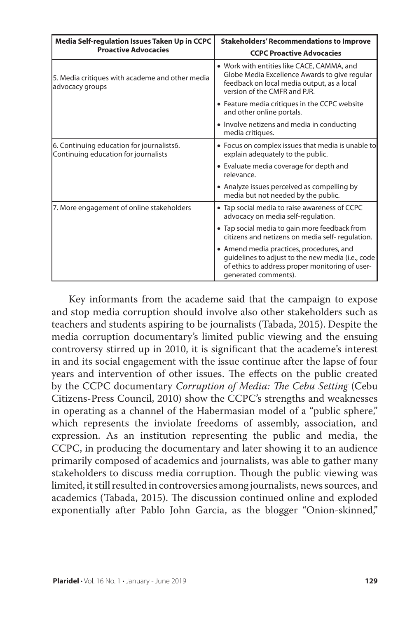| Media Self-regulation Issues Taken Up in CCPC                                     | <b>Stakeholders' Recommendations to Improve</b>                                                                                                                           |  |
|-----------------------------------------------------------------------------------|---------------------------------------------------------------------------------------------------------------------------------------------------------------------------|--|
| <b>Proactive Advocacies</b>                                                       | <b>CCPC Proactive Advocacies</b>                                                                                                                                          |  |
| 5. Media critiques with academe and other media<br>advocacy groups                | • Work with entities like CACE, CAMMA, and<br>Globe Media Excellence Awards to give regular<br>feedback on local media output, as a local<br>version of the CMFR and PJR. |  |
|                                                                                   | • Feature media critiques in the CCPC website<br>and other online portals.                                                                                                |  |
|                                                                                   | • Involve netizens and media in conducting<br>media critiques.                                                                                                            |  |
| 6. Continuing education for journalists6.<br>Continuing education for journalists | • Focus on complex issues that media is unable to<br>explain adequately to the public.                                                                                    |  |
|                                                                                   | • Evaluate media coverage for depth and<br>relevance.                                                                                                                     |  |
|                                                                                   | • Analyze issues perceived as compelling by<br>media but not needed by the public.                                                                                        |  |
| 7. More engagement of online stakeholders                                         | • Tap social media to raise awareness of CCPC<br>advocacy on media self-regulation.                                                                                       |  |
|                                                                                   | • Tap social media to gain more feedback from<br>citizens and netizens on media self- regulation.                                                                         |  |
|                                                                                   | • Amend media practices, procedures, and<br>quidelines to adjust to the new media (i.e., code<br>of ethics to address proper monitoring of user-<br>generated comments).  |  |

Key informants from the academe said that the campaign to expose and stop media corruption should involve also other stakeholders such as teachers and students aspiring to be journalists (Tabada, 2015). Despite the media corruption documentary's limited public viewing and the ensuing controversy stirred up in 2010, it is significant that the academe's interest in and its social engagement with the issue continue after the lapse of four years and intervention of other issues. The effects on the public created by the CCPC documentary *Corruption of Media: The Cebu Setting* (Cebu Citizens-Press Council, 2010) show the CCPC's strengths and weaknesses in operating as a channel of the Habermasian model of a "public sphere," which represents the inviolate freedoms of assembly, association, and expression. As an institution representing the public and media, the CCPC, in producing the documentary and later showing it to an audience primarily composed of academics and journalists, was able to gather many stakeholders to discuss media corruption. Though the public viewing was limited, it still resulted in controversies among journalists, news sources, and academics (Tabada, 2015). The discussion continued online and exploded exponentially after Pablo John Garcia, as the blogger "Onion-skinned,"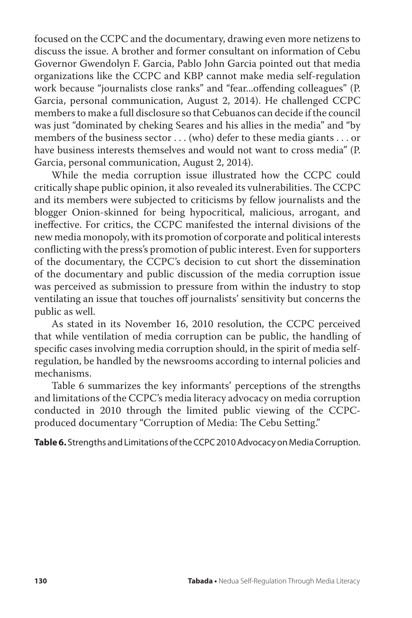focused on the CCPC and the documentary, drawing even more netizens to discuss the issue. A brother and former consultant on information of Cebu Governor Gwendolyn F. Garcia, Pablo John Garcia pointed out that media organizations like the CCPC and KBP cannot make media self-regulation work because "journalists close ranks" and "fear...offending colleagues" (P. Garcia, personal communication, August 2, 2014). He challenged CCPC members to make a full disclosure so that Cebuanos can decide if the council was just "dominated by cheking Seares and his allies in the media" and "by members of the business sector . . . (who) defer to these media giants . . . or have business interests themselves and would not want to cross media" (P. Garcia, personal communication, August 2, 2014).

While the media corruption issue illustrated how the CCPC could critically shape public opinion, it also revealed its vulnerabilities. The CCPC and its members were subjected to criticisms by fellow journalists and the blogger Onion-skinned for being hypocritical, malicious, arrogant, and ineffective. For critics, the CCPC manifested the internal divisions of the new media monopoly, with its promotion of corporate and political interests conflicting with the press's promotion of public interest. Even for supporters of the documentary, the CCPC's decision to cut short the dissemination of the documentary and public discussion of the media corruption issue was perceived as submission to pressure from within the industry to stop ventilating an issue that touches off journalists' sensitivity but concerns the public as well.

As stated in its November 16, 2010 resolution, the CCPC perceived that while ventilation of media corruption can be public, the handling of specific cases involving media corruption should, in the spirit of media selfregulation, be handled by the newsrooms according to internal policies and mechanisms.

Table 6 summarizes the key informants' perceptions of the strengths and limitations of the CCPC's media literacy advocacy on media corruption conducted in 2010 through the limited public viewing of the CCPCproduced documentary "Corruption of Media: The Cebu Setting."

**Table 6.** Strengths and Limitations of the CCPC 2010 Advocacy on Media Corruption.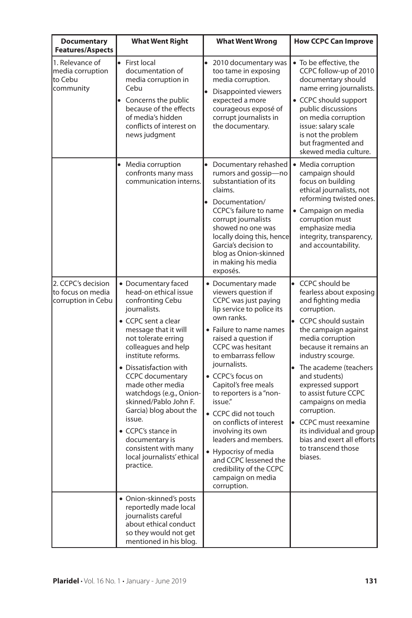| <b>Documentary</b><br><b>Features/Aspects</b>                  | <b>What Went Right</b>                                                                                                                                                                                                                                                                                                                                                                                                                                                                                     | <b>What Went Wrong</b>                                                                                                                                                                                                                                                                                                                                                                                                                                                                                                                 | <b>How CCPC Can Improve</b>                                                                                                                                                                                                                                                                                                                                                                                                                                                     |
|----------------------------------------------------------------|------------------------------------------------------------------------------------------------------------------------------------------------------------------------------------------------------------------------------------------------------------------------------------------------------------------------------------------------------------------------------------------------------------------------------------------------------------------------------------------------------------|----------------------------------------------------------------------------------------------------------------------------------------------------------------------------------------------------------------------------------------------------------------------------------------------------------------------------------------------------------------------------------------------------------------------------------------------------------------------------------------------------------------------------------------|---------------------------------------------------------------------------------------------------------------------------------------------------------------------------------------------------------------------------------------------------------------------------------------------------------------------------------------------------------------------------------------------------------------------------------------------------------------------------------|
| 1. Relevance of<br>media corruption<br>lto Cebu<br>community   | First local<br>$\bullet$<br>documentation of<br>media corruption in<br>Cebu<br>Concerns the public<br>because of the effects<br>of media's hidden<br>conflicts of interest on<br>news judgment                                                                                                                                                                                                                                                                                                             | $\bullet$<br>2010 documentary was<br>too tame in exposing<br>media corruption.<br>Disappointed viewers<br>expected a more<br>courageous exposé of<br>corrupt journalists in<br>the documentary.                                                                                                                                                                                                                                                                                                                                        | • To be effective, the<br>CCPC follow-up of 2010<br>documentary should<br>name erring journalists.<br>• CCPC should support<br>public discussions<br>on media corruption<br>issue: salary scale<br>is not the problem<br>but fragmented and<br>skewed media culture.                                                                                                                                                                                                            |
|                                                                | Media corruption<br>$\bullet$<br>confronts many mass<br>communication interns.                                                                                                                                                                                                                                                                                                                                                                                                                             | Documentary rehashed<br>rumors and gossip-no<br>substantiation of its<br>claims.<br>$\bullet$<br>Documentation/<br>CCPC's failure to name<br>corrupt journalists<br>showed no one was<br>locally doing this, hence<br>Garcia's decision to<br>blog as Onion-skinned<br>in making his media<br>exposés.                                                                                                                                                                                                                                 | • Media corruption<br>campaign should<br>focus on building<br>ethical journalists, not<br>reforming twisted ones.<br>• Campaign on media<br>corruption must<br>emphasize media<br>integrity, transparency,<br>and accountability.                                                                                                                                                                                                                                               |
| 2. CCPC's decision<br>lto focus on media<br>corruption in Cebu | • Documentary faced<br>head-on ethical issue<br>confronting Cebu<br>journalists.<br>• CCPC sent a clear<br>message that it will<br>not tolerate erring<br>colleagues and help<br>institute reforms.<br>• Dissatisfaction with<br><b>CCPC</b> documentary<br>made other media<br>watchdogs (e.g., Onion-<br>skinned/Pablo John F.<br>Garcia) blog about the<br>issue.<br>• CCPC's stance in<br>documentary is<br>consistent with many<br>local journalists' ethical<br>practice.<br>• Onion-skinned's posts | • Documentary made<br>viewers question if<br>CCPC was just paying<br>lip service to police its<br>own ranks.<br>• Failure to name names<br>raised a question if<br><b>CCPC</b> was hesitant<br>to embarrass fellow<br>journalists.<br>• CCPC's focus on<br>Capitol's free meals<br>to reporters is a "non-<br>issue."<br>• CCPC did not touch<br>on conflicts of interest<br>involving its own<br>leaders and members.<br>• Hypocrisy of media<br>and CCPC lessened the<br>credibility of the CCPC<br>campaign on media<br>corruption. | $\bullet$<br>CCPC should be<br>fearless about exposing<br>and fighting media<br>corruption.<br>CCPC should sustain<br>the campaign against<br>media corruption<br>because it remains an<br>industry scourge.<br>$\bullet$<br>The academe (teachers<br>and students)<br>expressed support<br>to assist future CCPC<br>campaigns on media<br>corruption.<br><b>CCPC</b> must reexamine<br>its individual and group<br>bias and exert all efforts<br>to transcend those<br>biases. |
|                                                                | reportedly made local<br>journalists careful<br>about ethical conduct<br>so they would not get<br>mentioned in his blog.                                                                                                                                                                                                                                                                                                                                                                                   |                                                                                                                                                                                                                                                                                                                                                                                                                                                                                                                                        |                                                                                                                                                                                                                                                                                                                                                                                                                                                                                 |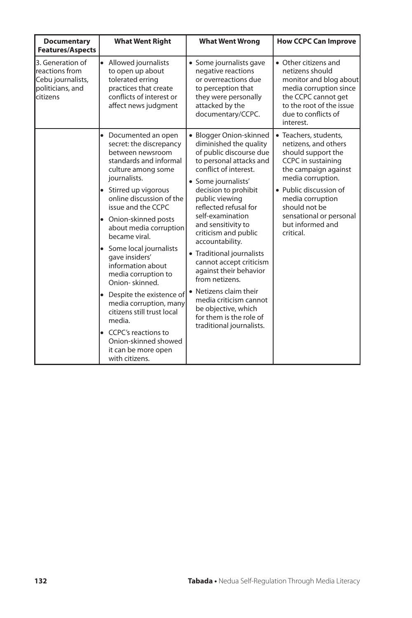| <b>Documentary</b><br><b>Features/Aspects</b>                                           | <b>What Went Right</b>                                                                                                                                                                                                                                                                                                                                                                                                                                                                                                                                                                                      | <b>What Went Wrong</b>                                                                                                                                                                                                                                                                                                                                                                                                                                                                                                                                | <b>How CCPC Can Improve</b>                                                                                                                                                                                                                                       |
|-----------------------------------------------------------------------------------------|-------------------------------------------------------------------------------------------------------------------------------------------------------------------------------------------------------------------------------------------------------------------------------------------------------------------------------------------------------------------------------------------------------------------------------------------------------------------------------------------------------------------------------------------------------------------------------------------------------------|-------------------------------------------------------------------------------------------------------------------------------------------------------------------------------------------------------------------------------------------------------------------------------------------------------------------------------------------------------------------------------------------------------------------------------------------------------------------------------------------------------------------------------------------------------|-------------------------------------------------------------------------------------------------------------------------------------------------------------------------------------------------------------------------------------------------------------------|
| 3. Generation of<br>reactions from<br>Cebu journalists,<br>politicians, and<br>citizens | $\bullet$<br>Allowed journalists<br>to open up about<br>tolerated erring<br>practices that create<br>conflicts of interest or<br>affect news judgment                                                                                                                                                                                                                                                                                                                                                                                                                                                       | • Some journalists gave<br>negative reactions<br>or overreactions due<br>to perception that<br>they were personally<br>attacked by the<br>documentary/CCPC.                                                                                                                                                                                                                                                                                                                                                                                           | • Other citizens and<br>netizens should<br>monitor and blog about<br>media corruption since<br>the CCPC cannot get<br>to the root of the issue<br>due to conflicts of<br>interest.                                                                                |
|                                                                                         | Documented an open<br>$\bullet$<br>secret: the discrepancy<br>between newsroom<br>standards and informal<br>culture among some<br>journalists.<br>• Stirred up vigorous<br>online discussion of the<br>issue and the CCPC<br>• Onion-skinned posts<br>about media corruption<br>became viral.<br>• Some local journalists<br>gave insiders'<br>information about<br>media corruption to<br>Onion-skinned.<br>• Despite the existence of<br>media corruption, many<br>citizens still trust local<br>media.<br>$\bullet$ CCPC's reactions to<br>Onion-skinned showed<br>it can be more open<br>with citizens. | • Blogger Onion-skinned<br>diminished the quality<br>of public discourse due<br>to personal attacks and<br>conflict of interest.<br>• Some journalists'<br>decision to prohibit<br>public viewing<br>reflected refusal for<br>self-examination<br>and sensitivity to<br>criticism and public<br>accountability.<br>• Traditional journalists<br>cannot accept criticism<br>against their behavior<br>from netizens.<br>• Netizens claim their<br>media criticism cannot<br>be objective, which<br>for them is the role of<br>traditional journalists. | · Teachers, students,<br>netizens, and others<br>should support the<br>CCPC in sustaining<br>the campaign against<br>media corruption.<br>• Public discussion of<br>media corruption<br>should not be<br>sensational or personal<br>but informed and<br>critical. |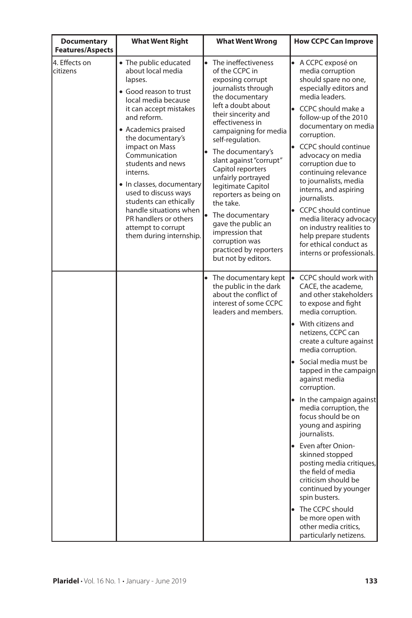| <b>Documentary</b><br><b>Features/Aspects</b> | <b>What Went Right</b>                                                                                                                                                                                                                                                                                                                                                                                                                             | <b>What Went Wrong</b>                                                                                                                                                                                                                                                                                                                                                                                                                                                                                               | <b>How CCPC Can Improve</b>                                                                                                                                                                                                                                                                                                                                                                                                                                                                                                                                                 |
|-----------------------------------------------|----------------------------------------------------------------------------------------------------------------------------------------------------------------------------------------------------------------------------------------------------------------------------------------------------------------------------------------------------------------------------------------------------------------------------------------------------|----------------------------------------------------------------------------------------------------------------------------------------------------------------------------------------------------------------------------------------------------------------------------------------------------------------------------------------------------------------------------------------------------------------------------------------------------------------------------------------------------------------------|-----------------------------------------------------------------------------------------------------------------------------------------------------------------------------------------------------------------------------------------------------------------------------------------------------------------------------------------------------------------------------------------------------------------------------------------------------------------------------------------------------------------------------------------------------------------------------|
| 4. Effects on<br>citizens                     | • The public educated<br>about local media<br>lapses.<br>· Good reason to trust<br>local media because<br>it can accept mistakes<br>and reform.<br>• Academics praised<br>the documentary's<br>impact on Mass<br>Communication<br>students and news<br>interns.<br>• In classes, documentary<br>used to discuss ways<br>students can ethically<br>handle situations when<br>PR handlers or others<br>attempt to corrupt<br>them during internship. | $\bullet$<br>The ineffectiveness<br>of the CCPC in<br>exposing corrupt<br>journalists through<br>the documentary<br>left a doubt about<br>their sincerity and<br>effectiveness in<br>campaigning for media<br>self-regulation.<br>The documentary's<br>slant against "corrupt"<br>Capitol reporters<br>unfairly portrayed<br>legitimate Capitol<br>reporters as being on<br>the take.<br>The documentary<br>gave the public an<br>impression that<br>corruption was<br>practiced by reporters<br>but not by editors. | $\bullet$ A CCPC exposé on<br>media corruption<br>should spare no one,<br>especially editors and<br>media leaders.<br>CCPC should make a<br>follow-up of the 2010<br>documentary on media<br>corruption.<br><b>CCPC</b> should continue<br>advocacy on media<br>corruption due to<br>continuing relevance<br>to journalists, media<br>interns, and aspiring<br>journalists.<br><b>CCPC</b> should continue<br>media literacy advocacy<br>on industry realities to<br>help prepare students<br>for ethical conduct as<br>interns or professionals.                           |
|                                               |                                                                                                                                                                                                                                                                                                                                                                                                                                                    | The documentary kept<br>the public in the dark<br>about the conflict of<br>interest of some CCPC<br>leaders and members.                                                                                                                                                                                                                                                                                                                                                                                             | CCPC should work with<br>CACE, the academe,<br>and other stakeholders<br>to expose and fight<br>media corruption.<br>With citizens and<br>netizens, CCPC can<br>create a culture against<br>media corruption.<br>Social media must be<br>tapped in the campaign<br>against media<br>corruption.<br>• In the campaign against<br>media corruption, the<br>focus should be on<br>young and aspiring<br>journalists.<br>Even after Onion-<br>skinned stopped<br>posting media critiques,<br>the field of media<br>criticism should be<br>continued by younger<br>spin busters. |
|                                               |                                                                                                                                                                                                                                                                                                                                                                                                                                                    |                                                                                                                                                                                                                                                                                                                                                                                                                                                                                                                      | The CCPC should<br>$\bullet$<br>be more open with<br>other media critics,<br>particularly netizens.                                                                                                                                                                                                                                                                                                                                                                                                                                                                         |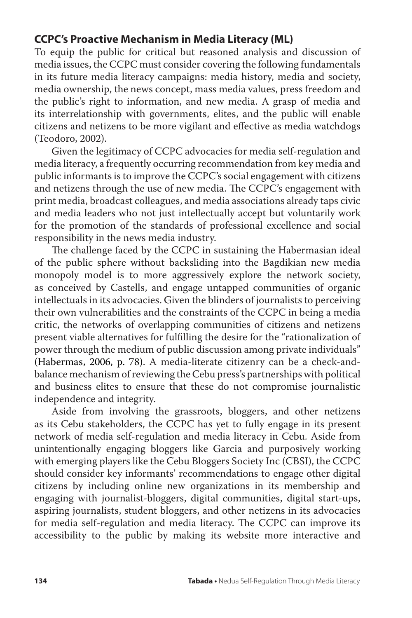# **CCPC's Proactive Mechanism in Media Literacy (ML)**

To equip the public for critical but reasoned analysis and discussion of media issues, the CCPC must consider covering the following fundamentals in its future media literacy campaigns: media history, media and society, media ownership, the news concept, mass media values, press freedom and the public's right to information, and new media. A grasp of media and its interrelationship with governments, elites, and the public will enable citizens and netizens to be more vigilant and effective as media watchdogs (Teodoro, 2002).

Given the legitimacy of CCPC advocacies for media self-regulation and media literacy, a frequently occurring recommendation from key media and public informants is to improve the CCPC's social engagement with citizens and netizens through the use of new media. The CCPC's engagement with print media, broadcast colleagues, and media associations already taps civic and media leaders who not just intellectually accept but voluntarily work for the promotion of the standards of professional excellence and social responsibility in the news media industry.

The challenge faced by the CCPC in sustaining the Habermasian ideal of the public sphere without backsliding into the Bagdikian new media monopoly model is to more aggressively explore the network society, as conceived by Castells, and engage untapped communities of organic intellectuals in its advocacies. Given the blinders of journalists to perceiving their own vulnerabilities and the constraints of the CCPC in being a media critic, the networks of overlapping communities of citizens and netizens present viable alternatives for fulfilling the desire for the "rationalization of power through the medium of public discussion among private individuals" (Habermas, 2006, p. 78). A media-literate citizenry can be a check-andbalance mechanism of reviewing the Cebu press's partnerships with political and business elites to ensure that these do not compromise journalistic independence and integrity.

Aside from involving the grassroots, bloggers, and other netizens as its Cebu stakeholders, the CCPC has yet to fully engage in its present network of media self-regulation and media literacy in Cebu. Aside from unintentionally engaging bloggers like Garcia and purposively working with emerging players like the Cebu Bloggers Society Inc (CBSI), the CCPC should consider key informants' recommendations to engage other digital citizens by including online new organizations in its membership and engaging with journalist-bloggers, digital communities, digital start-ups, aspiring journalists, student bloggers, and other netizens in its advocacies for media self-regulation and media literacy. The CCPC can improve its accessibility to the public by making its website more interactive and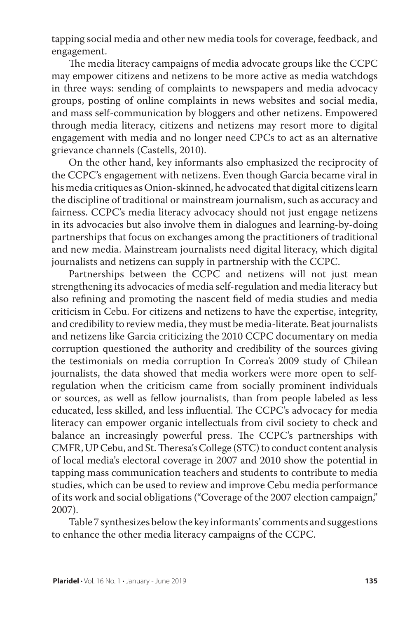tapping social media and other new media tools for coverage, feedback, and engagement.

The media literacy campaigns of media advocate groups like the CCPC may empower citizens and netizens to be more active as media watchdogs in three ways: sending of complaints to newspapers and media advocacy groups, posting of online complaints in news websites and social media, and mass self-communication by bloggers and other netizens. Empowered through media literacy, citizens and netizens may resort more to digital engagement with media and no longer need CPCs to act as an alternative grievance channels (Castells, 2010).

On the other hand, key informants also emphasized the reciprocity of the CCPC's engagement with netizens. Even though Garcia became viral in his media critiques as Onion-skinned, he advocated that digital citizens learn the discipline of traditional or mainstream journalism, such as accuracy and fairness. CCPC's media literacy advocacy should not just engage netizens in its advocacies but also involve them in dialogues and learning-by-doing partnerships that focus on exchanges among the practitioners of traditional and new media. Mainstream journalists need digital literacy, which digital journalists and netizens can supply in partnership with the CCPC.

Partnerships between the CCPC and netizens will not just mean strengthening its advocacies of media self-regulation and media literacy but also refining and promoting the nascent field of media studies and media criticism in Cebu. For citizens and netizens to have the expertise, integrity, and credibility to review media, they must be media-literate. Beat journalists and netizens like Garcia criticizing the 2010 CCPC documentary on media corruption questioned the authority and credibility of the sources giving the testimonials on media corruption In Correa's 2009 study of Chilean journalists, the data showed that media workers were more open to selfregulation when the criticism came from socially prominent individuals or sources, as well as fellow journalists, than from people labeled as less educated, less skilled, and less influential. The CCPC's advocacy for media literacy can empower organic intellectuals from civil society to check and balance an increasingly powerful press. The CCPC's partnerships with CMFR, UP Cebu, and St. Theresa's College (STC) to conduct content analysis of local media's electoral coverage in 2007 and 2010 show the potential in tapping mass communication teachers and students to contribute to media studies, which can be used to review and improve Cebu media performance of its work and social obligations ("Coverage of the 2007 election campaign," 2007).

Table 7 synthesizes below the key informants' comments and suggestions to enhance the other media literacy campaigns of the CCPC.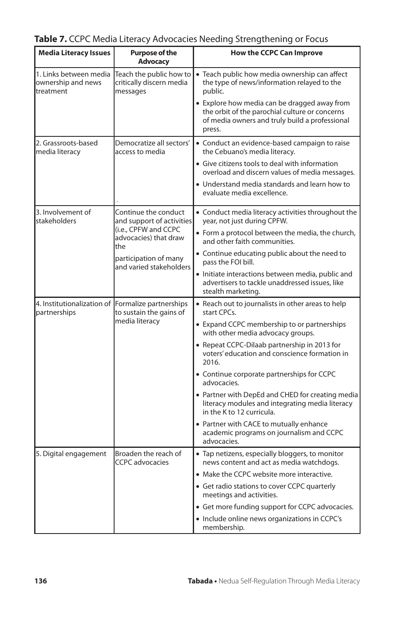| <b>Media Literacy Issues</b>                                      | <b>Purpose of the</b><br><b>Advocacy</b>                                                           | <b>How the CCPC Can Improve</b>                                                                                                                            |
|-------------------------------------------------------------------|----------------------------------------------------------------------------------------------------|------------------------------------------------------------------------------------------------------------------------------------------------------------|
| 1. Links between media<br>ownership and news<br>treatment         | Teach the public how to<br>critically discern media<br>messages                                    | • Teach public how media ownership can affect<br>the type of news/information relayed to the<br>public.                                                    |
|                                                                   |                                                                                                    | • Explore how media can be dragged away from<br>the orbit of the parochial culture or concerns<br>of media owners and truly build a professional<br>press. |
| 2. Grassroots-based<br>media literacy                             | Democratize all sectors'<br>access to media                                                        | • Conduct an evidence-based campaign to raise<br>the Cebuano's media literacy.                                                                             |
|                                                                   |                                                                                                    | • Give citizens tools to deal with information<br>overload and discern values of media messages.                                                           |
|                                                                   |                                                                                                    | • Understand media standards and learn how to<br>evaluate media excellence.                                                                                |
| 3. Involvement of<br>stakeholders                                 | Continue the conduct<br>and support of activities<br>(i.e., CPFW and CCPC<br>advocacies) that draw | • Conduct media literacy activities throughout the<br>year, not just during CPFW.                                                                          |
|                                                                   |                                                                                                    | • Form a protocol between the media, the church,<br>and other faith communities.                                                                           |
|                                                                   | the<br>participation of many<br>and varied stakeholders                                            | • Continue educating public about the need to<br>pass the FOI bill.                                                                                        |
|                                                                   |                                                                                                    | • Initiate interactions between media, public and<br>advertisers to tackle unaddressed issues, like<br>stealth marketing.                                  |
| 4. Institutionalization of Formalize partnerships<br>partnerships | to sustain the gains of<br>media literacy                                                          | • Reach out to journalists in other areas to help<br>start CPCs.                                                                                           |
|                                                                   |                                                                                                    | • Expand CCPC membership to or partnerships<br>with other media advocacy groups.                                                                           |
|                                                                   |                                                                                                    | • Repeat CCPC-Dilaab partnership in 2013 for<br>voters' education and conscience formation in<br>2016.                                                     |
|                                                                   |                                                                                                    | • Continue corporate partnerships for CCPC<br>advocacies.                                                                                                  |
|                                                                   |                                                                                                    | • Partner with DepEd and CHED for creating media<br>literacy modules and integrating media literacy<br>in the K to 12 curricula.                           |
|                                                                   |                                                                                                    | • Partner with CACE to mutually enhance<br>academic programs on journalism and CCPC<br>advocacies.                                                         |
| 5. Digital engagement                                             | Broaden the reach of<br><b>CCPC</b> advocacies                                                     | • Tap netizens, especially bloggers, to monitor<br>news content and act as media watchdogs.                                                                |
|                                                                   |                                                                                                    | • Make the CCPC website more interactive.                                                                                                                  |
|                                                                   |                                                                                                    | • Get radio stations to cover CCPC quarterly<br>meetings and activities.                                                                                   |
|                                                                   |                                                                                                    | • Get more funding support for CCPC advocacies.                                                                                                            |
|                                                                   |                                                                                                    | • Include online news organizations in CCPC's<br>membership.                                                                                               |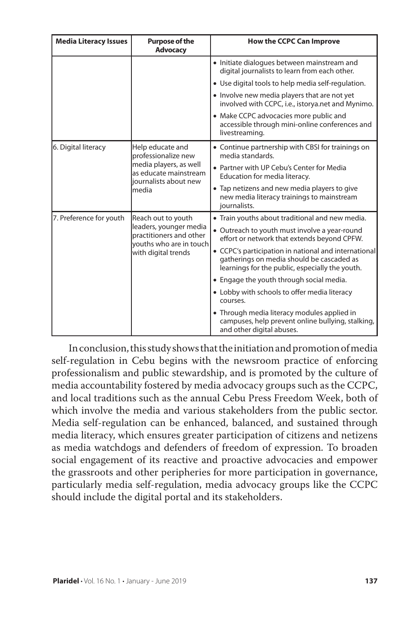| <b>Media Literacy Issues</b> | <b>Purpose of the</b><br><b>Advocacy</b>                                                                                     | <b>How the CCPC Can Improve</b>                                                                                                                      |
|------------------------------|------------------------------------------------------------------------------------------------------------------------------|------------------------------------------------------------------------------------------------------------------------------------------------------|
|                              |                                                                                                                              | • Initiate dialogues between mainstream and<br>digital journalists to learn from each other.                                                         |
|                              |                                                                                                                              | • Use digital tools to help media self-regulation.                                                                                                   |
|                              |                                                                                                                              | • Involve new media players that are not yet<br>involved with CCPC, i.e., istorya.net and Mynimo.                                                    |
|                              |                                                                                                                              | • Make CCPC advocacies more public and<br>accessible through mini-online conferences and<br>livestreaming.                                           |
| 6. Digital literacy          | Help educate and<br>professionalize new<br>media players, as well<br>as educate mainstream<br>iournalists about new<br>media | • Continue partnership with CBSI for trainings on<br>media standards.                                                                                |
|                              |                                                                                                                              | • Partner with UP Cebu's Center for Media<br>Education for media literacy.                                                                           |
|                              |                                                                                                                              | • Tap netizens and new media players to give<br>new media literacy trainings to mainstream<br>journalists.                                           |
| 7. Preference for youth      | Reach out to youth<br>leaders, younger media<br>practitioners and other<br>youths who are in touch<br>with digital trends    | • Train youths about traditional and new media.                                                                                                      |
|                              |                                                                                                                              | • Outreach to youth must involve a year-round<br>effort or network that extends beyond CPFW.                                                         |
|                              |                                                                                                                              | • CCPC's participation in national and international<br>gatherings on media should be cascaded as<br>learnings for the public, especially the youth. |
|                              |                                                                                                                              | • Engage the youth through social media.                                                                                                             |
|                              |                                                                                                                              | • Lobby with schools to offer media literacy<br>courses.                                                                                             |
|                              |                                                                                                                              | • Through media literacy modules applied in<br>campuses, help prevent online bullying, stalking,<br>and other digital abuses.                        |

In conclusion, this study shows that the initiation and promotion of media self-regulation in Cebu begins with the newsroom practice of enforcing professionalism and public stewardship, and is promoted by the culture of media accountability fostered by media advocacy groups such as the CCPC, and local traditions such as the annual Cebu Press Freedom Week, both of which involve the media and various stakeholders from the public sector. Media self-regulation can be enhanced, balanced, and sustained through media literacy, which ensures greater participation of citizens and netizens as media watchdogs and defenders of freedom of expression. To broaden social engagement of its reactive and proactive advocacies and empower the grassroots and other peripheries for more participation in governance, particularly media self-regulation, media advocacy groups like the CCPC should include the digital portal and its stakeholders.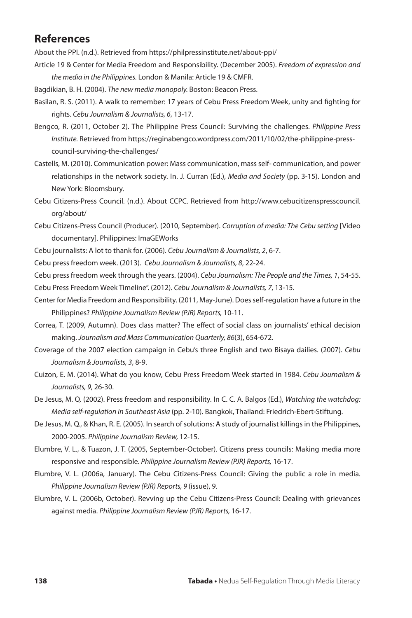### **References**

About the PPI. (n.d.). Retrieved from https://philpressinstitute.net/about-ppi/

Article 19 & Center for Media Freedom and Responsibility. (December 2005). *Freedom of expression and the media in the Philippines.* London & Manila: Article 19 & CMFR.

Bagdikian, B. H. (2004). *The new media monopoly.* Boston: Beacon Press.

- Basilan, R. S. (2011). A walk to remember: 17 years of Cebu Press Freedom Week, unity and fighting for rights. *Cebu Journalism & Journalists, 6*, 13-17.
- Bengco, R. (2011, October 2). The Philippine Press Council: Surviving the challenges. *Philippine Press Institute.* Retrieved from https://reginabengco.wordpress.com/2011/10/02/the-philippine-presscouncil-surviving-the-challenges/
- Castells, M. (2010). Communication power: Mass communication, mass self- communication, and power relationships in the network society. In. J. Curran (Ed.), *Media and Society* (pp. 3-15). London and New York: Bloomsbury.
- Cebu Citizens-Press Council. (n.d.). About CCPC. Retrieved from http://www.cebucitizenspresscouncil. org/about/
- Cebu Citizens-Press Council (Producer). (2010, September). *Corruption of media: The Cebu setting* [Video documentary]. Philippines: ImaGEWorks
- Cebu journalists: A lot to thank for. (2006). *Cebu Journalism & Journalists, 2*, 6-7.

Cebu press freedom week. (2013). *Cebu Journalism & Journalists, 8*, 22-24.

Cebu press freedom week through the years. (2004). *Cebu Journalism: The People and the Times, 1*, 54-55. Cebu Press Freedom Week Timeline". (2012). *Cebu Journalism & Journalists, 7*, 13-15.

- Center for Media Freedom and Responsibility. (2011, May-June). Does self-regulation have a future in the Philippines? *Philippine Journalism Review (PJR) Reports,* 10-11.
- Correa, T. (2009, Autumn). Does class matter? The effect of social class on journalists' ethical decision making. *Journalism and Mass Communication Quarterly, 86*(3), 654-672.

Coverage of the 2007 election campaign in Cebu's three English and two Bisaya dailies. (2007). *Cebu Journalism & Journalists, 3*, 8-9.

- Cuizon, E. M. (2014). What do you know, Cebu Press Freedom Week started in 1984. *Cebu Journalism & Journalists, 9*, 26-30.
- De Jesus, M. Q. (2002). Press freedom and responsibility. In C. C. A. Balgos (Ed.), *Watching the watchdog: Media self-regulation in Southeast Asia* (pp. 2-10). Bangkok, Thailand: Friedrich-Ebert-Stiftung.
- De Jesus, M. Q., & Khan, R. E. (2005). In search of solutions: A study of journalist killings in the Philippines, 2000-2005. *Philippine Journalism Review,* 12-15.
- Elumbre, V. L., & Tuazon, J. T. (2005, September-October). Citizens press councils: Making media more responsive and responsible. *Philippine Journalism Review (PJR) Reports,* 16-17.
- Elumbre, V. L. (2006a, January). The Cebu Citizens-Press Council: Giving the public a role in media. *Philippine Journalism Review (PJR) Reports, 9* (issue), 9.
- Elumbre, V. L. (2006b, October). Revving up the Cebu Citizens-Press Council: Dealing with grievances against media. *Philippine Journalism Review (PJR) Reports,* 16-17.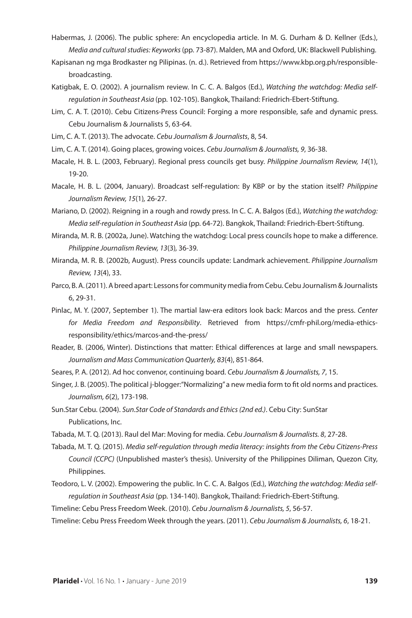- Habermas, J. (2006). The public sphere: An encyclopedia article. In M. G. Durham & D. Kellner (Eds.), *Media and cultural studies: Keyworks* (pp. 73-87). Malden, MA and Oxford, UK: Blackwell Publishing.
- Kapisanan ng mga Brodkaster ng Pilipinas. (n. d.). Retrieved from https://www.kbp.org.ph/responsiblebroadcasting.
- Katigbak, E. O. (2002). A journalism review. In C. C. A. Balgos (Ed.), *Watching the watchdog: Media selfregulation in Southeast Asia* (pp. 102-105). Bangkok, Thailand: Friedrich-Ebert-Stiftung.
- Lim, C. A. T. (2010). Cebu Citizens-Press Council: Forging a more responsible, safe and dynamic press. Cebu Journalism & Journalists 5, 63-64.
- Lim, C. A. T. (2013). The advocate. *Cebu Journalism & Journalists*, 8, 54.
- Lim, C. A. T. (2014). Going places, growing voices. *Cebu Journalism & Journalists, 9*, 36-38.
- Macale, H. B. L. (2003, February). Regional press councils get busy. *Philippine Journalism Review, 14*(1), 19-20.
- Macale, H. B. L. (2004, January). Broadcast self-regulation: By KBP or by the station itself? *Philippine Journalism Review, 15*(1)*,* 26-27.
- Mariano, D. (2002). Reigning in a rough and rowdy press. In C. C. A. Balgos (Ed.), *Watching the watchdog: Media self-regulation in Southeast Asia* (pp. 64-72). Bangkok, Thailand: Friedrich-Ebert-Stiftung.
- Miranda, M. R. B. (2002a, June). Watching the watchdog: Local press councils hope to make a difference. *Philippine Journalism Review, 13*(3)*,* 36-39.
- Miranda, M. R. B. (2002b, August). Press councils update: Landmark achievement. *Philippine Journalism Review, 13*(4), 33.
- Parco, B. A. (2011). A breed apart: Lessons for community media from Cebu. Cebu Journalism & Journalists 6, 29-31.
- Pinlac, M. Y. (2007, September 1). The martial law-era editors look back: Marcos and the press. *Center for Media Freedom and Responsibility*. Retrieved from https://cmfr-phil.org/media-ethicsresponsibility/ethics/marcos-and-the-press/
- Reader, B. (2006, Winter). Distinctions that matter: Ethical differences at large and small newspapers. *Journalism and Mass Communication Quarterly, 83*(4), 851-864.
- Seares, P. A. (2012). Ad hoc convenor, continuing board. *Cebu Journalism & Journalists, 7*, 15.
- Singer, J. B. (2005). The political j-blogger:"Normalizing" a new media form to fit old norms and practices. *Journalism, 6*(2), 173-198.
- Sun.Star Cebu. (2004). *Sun.Star Code of Standards and Ethics (2nd ed.)*. Cebu City: SunStar Publications, Inc.
- Tabada, M. T. Q. (2013). Raul del Mar: Moving for media. *Cebu Journalism & Journalists. 8*, 27-28.
- Tabada, M. T. Q. (2015). *Media self-regulation through media literacy: insights from the Cebu Citizens-Press Council (CCPC)* (Unpublished master's thesis). University of the Philippines Diliman, Quezon City, Philippines.
- Teodoro, L. V. (2002). Empowering the public. In C. C. A. Balgos (Ed.), *Watching the watchdog: Media selfregulation in Southeast Asia* (pp. 134-140). Bangkok, Thailand: Friedrich-Ebert-Stiftung.
- Timeline: Cebu Press Freedom Week. (2010). *Cebu Journalism & Journalists, 5*, 56-57.
- Timeline: Cebu Press Freedom Week through the years. (2011). *Cebu Journalism & Journalists, 6*, 18-21.